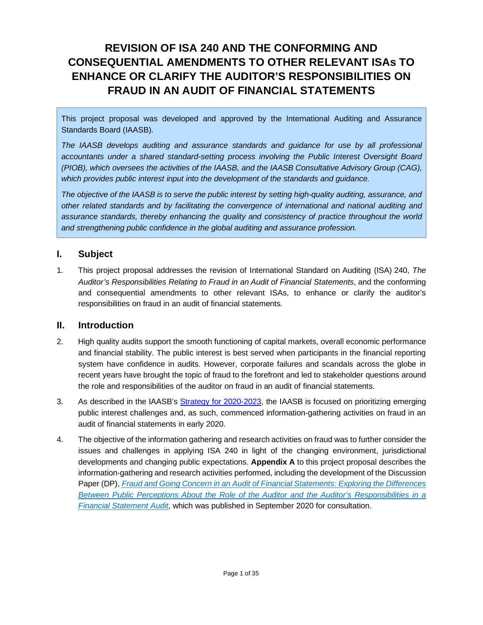# **REVISION OF ISA 240 AND THE CONFORMING AND CONSEQUENTIAL AMENDMENTS TO OTHER RELEVANT ISAs TO ENHANCE OR CLARIFY THE AUDITOR'S RESPONSIBILITIES ON FRAUD IN AN AUDIT OF FINANCIAL STATEMENTS**

This project proposal was developed and approved by the International Auditing and Assurance Standards Board (IAASB).

The IAASB develops auditing and assurance standards and guidance for use by all professional *accountants under a shared standard-setting process involving the Public Interest Oversight Board (PIOB), which oversees the activities of the IAASB, and the IAASB Consultative Advisory Group (CAG), which provides public interest input into the development of the standards and guidance.* 

*The objective of the IAASB is to serve the public interest by setting high-quality auditing, assurance, and other related standards and by facilitating the convergence of international and national auditing and assurance standards, thereby enhancing the quality and consistency of practice throughout the world and strengthening public confidence in the global auditing and assurance profession.*

### **I. Subject**

1. This project proposal addresses the revision of International Standard on Auditing (ISA) 240, *The Auditor's Responsibilities Relating to Fraud in an Audit of Financial Statements*, and the conforming and consequential amendments to other relevant ISAs, to enhance or clarify the auditor's responsibilities on fraud in an audit of financial statements*.*

### **II. Introduction**

- 2. High quality audits support the smooth functioning of capital markets, overall economic performance and financial stability. The public interest is best served when participants in the financial reporting system have confidence in audits. However, corporate failures and scandals across the globe in recent years have brought the topic of fraud to the forefront and led to stakeholder questions around the role and responsibilities of the auditor on fraud in an audit of financial statements.
- 3. As described in the IAASB's [Strategy for 2020-2023,](https://www.ifac.org/system/files/publications/files/IAASB-Strategy-for-2020-2023-V6.pdf) the IAASB is focused on prioritizing emerging public interest challenges and, as such, commenced information-gathering activities on fraud in an audit of financial statements in early 2020.
- 4. The objective of the information gathering and research activities on fraud was to further consider the issues and challenges in applying ISA 240 in light of the changing environment, jurisdictional developments and changing public expectations. **Appendix A** to this project proposal describes the information-gathering and research activities performed, including the development of the Discussion Paper (DP), *[Fraud and Going Concern in an Audit of Financial Statements: Exploring the Differences](https://www.iaasb.org/publications/fraud-and-going-concern-audit-financial-statements)  [Between Public Perceptions About the Role of the Auditor and the Auditor's Responsibilities in a](https://www.iaasb.org/publications/fraud-and-going-concern-audit-financial-statements)  [Financial Statement Audit](https://www.iaasb.org/publications/fraud-and-going-concern-audit-financial-statements)*, which was published in September 2020 for consultation.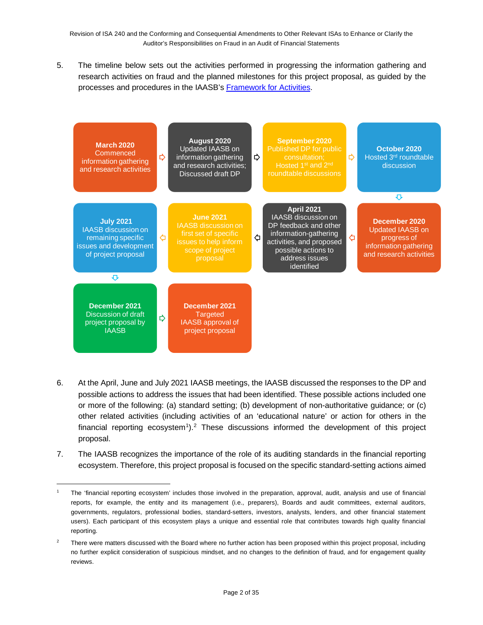5. The timeline below sets out the activities performed in progressing the information gathering and research activities on fraud and the planned milestones for this project proposal, as guided by the processes and procedures in the IAASB'[s Framework for Activities.](https://www.iaasb.org/publications/framework-activities)



- 6. At the April, June and July 2021 IAASB meetings, the IAASB discussed the responses to the DP and possible actions to address the issues that had been identified. These possible actions included one or more of the following: (a) standard setting; (b) development of non-authoritative guidance; or (c) other related activities (including activities of an 'educational nature' or action for others in the financial reporting ecosystem<sup>[1](#page-1-0)</sup>).<sup>[2](#page-1-1)</sup> These discussions informed the development of this project proposal.
- 7. The IAASB recognizes the importance of the role of its auditing standards in the financial reporting ecosystem. Therefore, this project proposal is focused on the specific standard-setting actions aimed

<span id="page-1-0"></span><sup>1</sup> The 'financial reporting ecosystem' includes those involved in the preparation, approval, audit, analysis and use of financial reports, for example, the entity and its management (i.e., preparers), Boards and audit committees, external auditors, governments, regulators, professional bodies, standard-setters, investors, analysts, lenders, and other financial statement users). Each participant of this ecosystem plays a unique and essential role that contributes towards high quality financial reporting.

<span id="page-1-1"></span><sup>&</sup>lt;sup>2</sup> There were matters discussed with the Board where no further action has been proposed within this project proposal, including no further explicit consideration of suspicious mindset, and no changes to the definition of fraud, and for engagement quality reviews.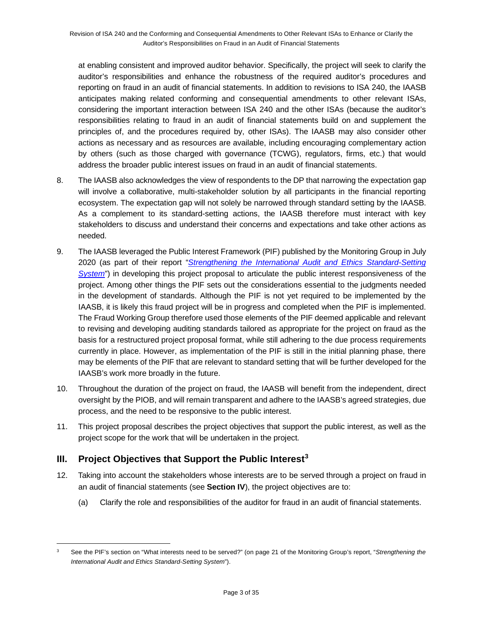at enabling consistent and improved auditor behavior. Specifically, the project will seek to clarify the auditor's responsibilities and enhance the robustness of the required auditor's procedures and reporting on fraud in an audit of financial statements. In addition to revisions to ISA 240, the IAASB anticipates making related conforming and consequential amendments to other relevant ISAs, considering the important interaction between ISA 240 and the other ISAs (because the auditor's responsibilities relating to fraud in an audit of financial statements build on and supplement the principles of, and the procedures required by, other ISAs). The IAASB may also consider other actions as necessary and as resources are available, including encouraging complementary action by others (such as those charged with governance (TCWG), regulators, firms, etc.) that would address the broader public interest issues on fraud in an audit of financial statements.

- 8. The IAASB also acknowledges the view of respondents to the DP that narrowing the expectation gap will involve a collaborative, multi-stakeholder solution by all participants in the financial reporting ecosystem. The expectation gap will not solely be narrowed through standard setting by the IAASB. As a complement to its standard-setting actions, the IAASB therefore must interact with key stakeholders to discuss and understand their concerns and expectations and take other actions as needed.
- 9. The IAASB leveraged the Public Interest Framework (PIF) published by the Monitoring Group in July 2020 (as part of their report "*[Strengthening the International Audit and Ethics Standard-Setting](https://www.iosco.org/about/monitoring_group/pdf/2020-07-MG-Paper-Strengthening-The-International-Audit-And-Ethics-Standard-Setting-System.pdf)*  **[System](https://www.iosco.org/about/monitoring_group/pdf/2020-07-MG-Paper-Strengthening-The-International-Audit-And-Ethics-Standard-Setting-System.pdf)**") in developing this project proposal to articulate the public interest responsiveness of the project. Among other things the PIF sets out the considerations essential to the judgments needed in the development of standards. Although the PIF is not yet required to be implemented by the IAASB, it is likely this fraud project will be in progress and completed when the PIF is implemented. The Fraud Working Group therefore used those elements of the PIF deemed applicable and relevant to revising and developing auditing standards tailored as appropriate for the project on fraud as the basis for a restructured project proposal format, while still adhering to the due process requirements currently in place. However, as implementation of the PIF is still in the initial planning phase, there may be elements of the PIF that are relevant to standard setting that will be further developed for the IAASB's work more broadly in the future.
- 10. Throughout the duration of the project on fraud, the IAASB will benefit from the independent, direct oversight by the PIOB, and will remain transparent and adhere to the IAASB's agreed strategies, due process, and the need to be responsive to the public interest.
- 11. This project proposal describes the project objectives that support the public interest, as well as the project scope for the work that will be undertaken in the project.

## **III. Project Objectives that Support the Public Interest[3](#page-2-0)**

- 12. Taking into account the stakeholders whose interests are to be served through a project on fraud in an audit of financial statements (see **Section IV**), the project objectives are to:
	- (a) Clarify the role and responsibilities of the auditor for fraud in an audit of financial statements.

<span id="page-2-0"></span><sup>3</sup> See the PIF's section on "What interests need to be served?" (on page 21 of the Monitoring Group's report, "*Strengthening the International Audit and Ethics Standard-Setting System*").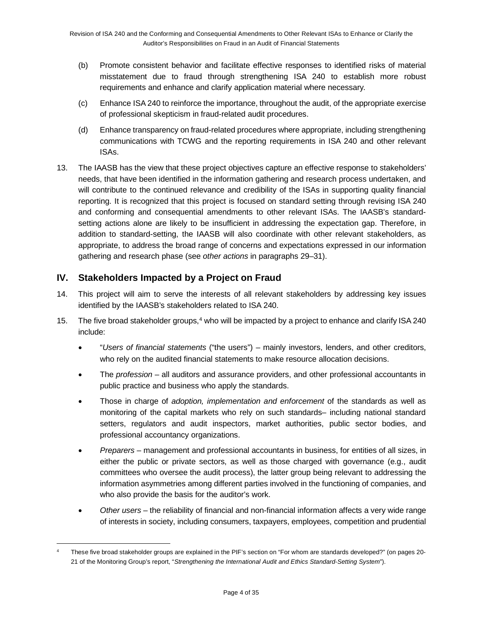- (b) Promote consistent behavior and facilitate effective responses to identified risks of material misstatement due to fraud through strengthening ISA 240 to establish more robust requirements and enhance and clarify application material where necessary.
- (c) Enhance ISA 240 to reinforce the importance, throughout the audit, of the appropriate exercise of professional skepticism in fraud-related audit procedures.
- (d) Enhance transparency on fraud-related procedures where appropriate, including strengthening communications with TCWG and the reporting requirements in ISA 240 and other relevant ISAs.
- 13. The IAASB has the view that these project objectives capture an effective response to stakeholders' needs, that have been identified in the information gathering and research process undertaken, and will contribute to the continued relevance and credibility of the ISAs in supporting quality financial reporting. It is recognized that this project is focused on standard setting through revising ISA 240 and conforming and consequential amendments to other relevant ISAs. The IAASB's standardsetting actions alone are likely to be insufficient in addressing the expectation gap. Therefore, in addition to standard-setting, the IAASB will also coordinate with other relevant stakeholders, as appropriate, to address the broad range of concerns and expectations expressed in our information gathering and research phase (see *other actions* in paragraphs 29–31).

### **IV. Stakeholders Impacted by a Project on Fraud**

- 14. This project will aim to serve the interests of all relevant stakeholders by addressing key issues identified by the IAASB's stakeholders related to ISA 240.
- 15. The five broad stakeholder groups,<sup>[4](#page-3-0)</sup> who will be impacted by a project to enhance and clarify ISA 240 include:
	- "*Users of financial statements* ("the users") mainly investors, lenders, and other creditors, who rely on the audited financial statements to make resource allocation decisions.
	- The *profession* all auditors and assurance providers, and other professional accountants in public practice and business who apply the standards.
	- Those in charge of *adoption, implementation and enforcement* of the standards as well as monitoring of the capital markets who rely on such standards– including national standard setters, regulators and audit inspectors, market authorities, public sector bodies, and professional accountancy organizations.
	- *Preparers* management and professional accountants in business, for entities of all sizes, in either the public or private sectors, as well as those charged with governance (e.g., audit committees who oversee the audit process), the latter group being relevant to addressing the information asymmetries among different parties involved in the functioning of companies, and who also provide the basis for the auditor's work.
	- *Other users* the reliability of financial and non-financial information affects a very wide range of interests in society, including consumers, taxpayers, employees, competition and prudential

<span id="page-3-0"></span><sup>4</sup> These five broad stakeholder groups are explained in the PIF's section on "For whom are standards developed?" (on pages 20- 21 of the Monitoring Group's report, "*Strengthening the International Audit and Ethics Standard-Setting System*").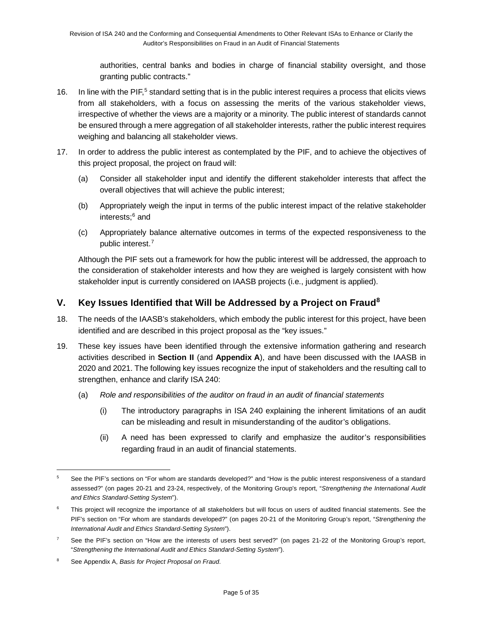authorities, central banks and bodies in charge of financial stability oversight, and those granting public contracts."

- 16. In line with the PIF,<sup>[5](#page-4-0)</sup> standard setting that is in the public interest requires a process that elicits views from all stakeholders, with a focus on assessing the merits of the various stakeholder views, irrespective of whether the views are a majority or a minority. The public interest of standards cannot be ensured through a mere aggregation of all stakeholder interests, rather the public interest requires weighing and balancing all stakeholder views.
- 17. In order to address the public interest as contemplated by the PIF, and to achieve the objectives of this project proposal, the project on fraud will:
	- (a) Consider all stakeholder input and identify the different stakeholder interests that affect the overall objectives that will achieve the public interest;
	- (b) Appropriately weigh the input in terms of the public interest impact of the relative stakeholder interests;[6](#page-4-1) and
	- (c) Appropriately balance alternative outcomes in terms of the expected responsiveness to the public interest.[7](#page-4-2)

Although the PIF sets out a framework for how the public interest will be addressed, the approach to the consideration of stakeholder interests and how they are weighed is largely consistent with how stakeholder input is currently considered on IAASB projects (i.e., judgment is applied).

### **V. Key Issues Identified that Will be Addressed by a Project on Fraud[8](#page-4-3)**

- 18. The needs of the IAASB's stakeholders, which embody the public interest for this project, have been identified and are described in this project proposal as the "key issues."
- 19. These key issues have been identified through the extensive information gathering and research activities described in **Section II** (and **Appendix A**), and have been discussed with the IAASB in 2020 and 2021. The following key issues recognize the input of stakeholders and the resulting call to strengthen, enhance and clarify ISA 240:
	- (a) *Role and responsibilities of the auditor on fraud in an audit of financial statements*
		- (i) The introductory paragraphs in ISA 240 explaining the inherent limitations of an audit can be misleading and result in misunderstanding of the auditor's obligations.
		- (ii) A need has been expressed to clarify and emphasize the auditor's responsibilities regarding fraud in an audit of financial statements.

<span id="page-4-0"></span><sup>5</sup> See the PIF's sections on "For whom are standards developed?" and "How is the public interest responsiveness of a standard assessed?" (on pages 20-21 and 23-24, respectively, of the Monitoring Group's report, "*Strengthening the International Audit and Ethics Standard-Setting System*").

<span id="page-4-1"></span>This project will recognize the importance of all stakeholders but will focus on users of audited financial statements. See the PIF's section on "For whom are standards developed?" (on pages 20-21 of the Monitoring Group's report, "*Strengthening the International Audit and Ethics Standard-Setting System*").

<span id="page-4-2"></span> $7$  See the PIF's section on "How are the interests of users best served?" (on pages 21-22 of the Monitoring Group's report, "*Strengthening the International Audit and Ethics Standard-Setting System*").

<span id="page-4-3"></span><sup>8</sup> See Appendix A, *Basis for Project Proposal on Fraud*.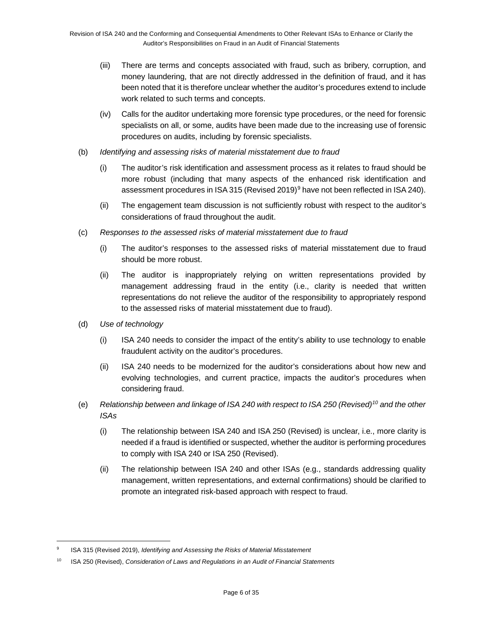- (iii) There are terms and concepts associated with fraud, such as bribery, corruption, and money laundering, that are not directly addressed in the definition of fraud, and it has been noted that it is therefore unclear whether the auditor's procedures extend to include work related to such terms and concepts.
- (iv) Calls for the auditor undertaking more forensic type procedures, or the need for forensic specialists on all, or some, audits have been made due to the increasing use of forensic procedures on audits, including by forensic specialists.
- (b) *Identifying and assessing risks of material misstatement due to fraud*
	- (i) The auditor's risk identification and assessment process as it relates to fraud should be more robust (including that many aspects of the enhanced risk identification and assessment procedures in ISA 315 (Revised 201[9](#page-5-0))<sup>9</sup> have not been reflected in ISA 240).
	- (ii) The engagement team discussion is not sufficiently robust with respect to the auditor's considerations of fraud throughout the audit.
- (c) *Responses to the assessed risks of material misstatement due to fraud*
	- (i) The auditor's responses to the assessed risks of material misstatement due to fraud should be more robust.
	- (ii) The auditor is inappropriately relying on written representations provided by management addressing fraud in the entity (i.e., clarity is needed that written representations do not relieve the auditor of the responsibility to appropriately respond to the assessed risks of material misstatement due to fraud).
- (d) *Use of technology*
	- (i) ISA 240 needs to consider the impact of the entity's ability to use technology to enable fraudulent activity on the auditor's procedures.
	- (ii) ISA 240 needs to be modernized for the auditor's considerations about how new and evolving technologies, and current practice, impacts the auditor's procedures when considering fraud.
- (e) *Relationship between and linkage of ISA 240 with respect to ISA 250 (Revised)[10](#page-5-1) and the other ISAs* 
	- (i) The relationship between ISA 240 and ISA 250 (Revised) is unclear, i.e., more clarity is needed if a fraud is identified or suspected, whether the auditor is performing procedures to comply with ISA 240 or ISA 250 (Revised).
	- (ii) The relationship between ISA 240 and other ISAs (e.g., standards addressing quality management, written representations, and external confirmations) should be clarified to promote an integrated risk-based approach with respect to fraud.

<span id="page-5-0"></span><sup>9</sup> ISA 315 (Revised 2019), *Identifying and Assessing the Risks of Material Misstatement*

<span id="page-5-1"></span><sup>10</sup> ISA 250 (Revised), *Consideration of Laws and Regulations in an Audit of Financial Statements*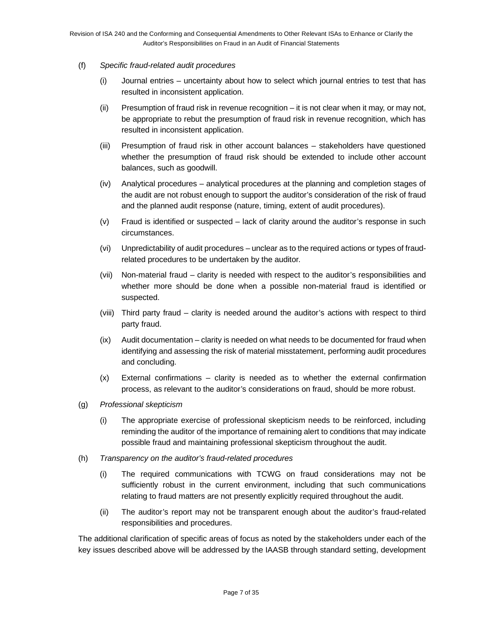#### (f) *Specific fraud-related audit procedures*

- (i) Journal entries uncertainty about how to select which journal entries to test that has resulted in inconsistent application.
- (ii) Presumption of fraud risk in revenue recognition it is not clear when it may, or may not, be appropriate to rebut the presumption of fraud risk in revenue recognition, which has resulted in inconsistent application.
- (iii) Presumption of fraud risk in other account balances stakeholders have questioned whether the presumption of fraud risk should be extended to include other account balances, such as goodwill.
- (iv) Analytical procedures analytical procedures at the planning and completion stages of the audit are not robust enough to support the auditor's consideration of the risk of fraud and the planned audit response (nature, timing, extent of audit procedures).
- (v) Fraud is identified or suspected lack of clarity around the auditor's response in such circumstances.
- (vi) Unpredictability of audit procedures unclear as to the required actions or types of fraudrelated procedures to be undertaken by the auditor.
- (vii) Non-material fraud clarity is needed with respect to the auditor's responsibilities and whether more should be done when a possible non-material fraud is identified or suspected.
- (viii) Third party fraud clarity is needed around the auditor's actions with respect to third party fraud.
- (ix) Audit documentation clarity is needed on what needs to be documented for fraud when identifying and assessing the risk of material misstatement, performing audit procedures and concluding.
- (x) External confirmations clarity is needed as to whether the external confirmation process, as relevant to the auditor's considerations on fraud, should be more robust.
- (g) *Professional skepticism*
	- (i) The appropriate exercise of professional skepticism needs to be reinforced, including reminding the auditor of the importance of remaining alert to conditions that may indicate possible fraud and maintaining professional skepticism throughout the audit.
- (h) *Transparency on the auditor's fraud-related procedures*
	- (i) The required communications with TCWG on fraud considerations may not be sufficiently robust in the current environment, including that such communications relating to fraud matters are not presently explicitly required throughout the audit.
	- (ii) The auditor's report may not be transparent enough about the auditor's fraud-related responsibilities and procedures.

The additional clarification of specific areas of focus as noted by the stakeholders under each of the key issues described above will be addressed by the IAASB through standard setting, development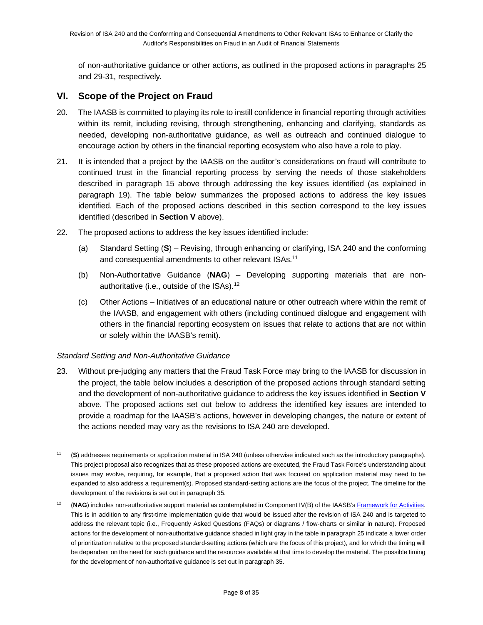of non-authoritative guidance or other actions, as outlined in the proposed actions in paragraphs 25 and 29-31, respectively.

### **VI. Scope of the Project on Fraud**

- 20. The IAASB is committed to playing its role to instill confidence in financial reporting through activities within its remit, including revising, through strengthening, enhancing and clarifying, standards as needed, developing non-authoritative guidance, as well as outreach and continued dialogue to encourage action by others in the financial reporting ecosystem who also have a role to play.
- 21. It is intended that a project by the IAASB on the auditor's considerations on fraud will contribute to continued trust in the financial reporting process by serving the needs of those stakeholders described in paragraph 15 above through addressing the key issues identified (as explained in paragraph 19). The table below summarizes the proposed actions to address the key issues identified. Each of the proposed actions described in this section correspond to the key issues identified (described in **Section V** above).
- 22. The proposed actions to address the key issues identified include:
	- (a) Standard Setting (**S**) *–* Revising, through enhancing or clarifying, ISA 240 and the conforming and consequential amendments to other relevant ISAs.<sup>[11](#page-7-0)</sup>
	- (b) Non-Authoritative Guidance (**NAG**) *–* Developing *s*upporting materials that are non-authoritative (i.e., outside of the ISAs).<sup>[12](#page-7-1)</sup>
	- (c) Other Actions Initiatives of an educational nature or other outreach where within the remit of the IAASB, and engagement with others (including continued dialogue and engagement with others in the financial reporting ecosystem on issues that relate to actions that are not within or solely within the IAASB's remit).

#### *Standard Setting and Non-Authoritative Guidance*

23. Without pre-judging any matters that the Fraud Task Force may bring to the IAASB for discussion in the project, the table below includes a description of the proposed actions through standard setting and the development of non-authoritative guidance to address the key issues identified in **Section V** above. The proposed actions set out below to address the identified key issues are intended to provide a roadmap for the IAASB's actions, however in developing changes, the nature or extent of the actions needed may vary as the revisions to ISA 240 are developed.

<span id="page-7-0"></span><sup>11</sup> (**S**) addresses requirements or application material in ISA 240 (unless otherwise indicated such as the introductory paragraphs). This project proposal also recognizes that as these proposed actions are executed, the Fraud Task Force's understanding about issues may evolve, requiring, for example, that a proposed action that was focused on application material may need to be expanded to also address a requirement(s). Proposed standard-setting actions are the focus of the project. The timeline for the development of the revisions is set out in paragraph 35.

<span id="page-7-1"></span><sup>&</sup>lt;sup>12</sup> (NAG) includes non-authoritative support material as contemplated in Component IV(B) of the IAASB's Framework for Activities. This is in addition to any first-time implementation guide that would be issued after the revision of ISA 240 and is targeted to address the relevant topic (i.e., Frequently Asked Questions (FAQs) or diagrams / flow-charts or similar in nature). Proposed actions for the development of non-authoritative guidance shaded in light gray in the table in paragraph 25 indicate a lower order of prioritization relative to the proposed standard-setting actions (which are the focus of this project), and for which the timing will be dependent on the need for such guidance and the resources available at that time to develop the material. The possible timing for the development of non-authoritative guidance is set out in paragraph 35.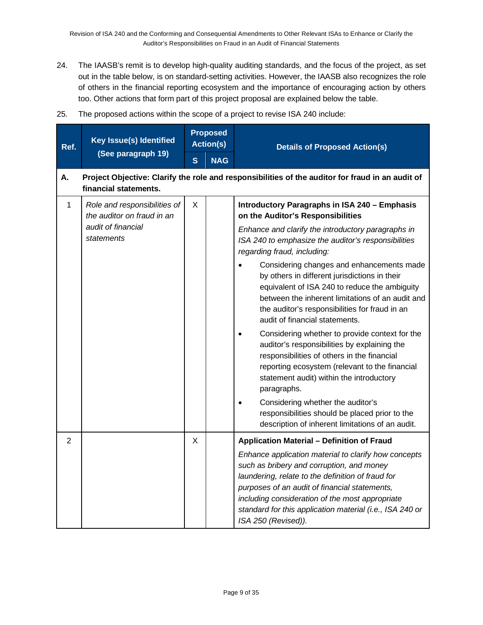- 24. The IAASB's remit is to develop high-quality auditing standards, and the focus of the project, as set out in the table below, is on standard-setting activities. However, the IAASB also recognizes the role of others in the financial reporting ecosystem and the importance of encouraging action by others too. Other actions that form part of this project proposal are explained below the table.
- 25. The proposed actions within the scope of a project to revise ISA 240 include:

| Ref.           | Key Issue(s) Identified                                    |              | <b>Proposed</b><br><b>Action(s)</b> | <b>Details of Proposed Action(s)</b>                                                                                                                                                                                                                                                                                                          |
|----------------|------------------------------------------------------------|--------------|-------------------------------------|-----------------------------------------------------------------------------------------------------------------------------------------------------------------------------------------------------------------------------------------------------------------------------------------------------------------------------------------------|
|                | (See paragraph 19)                                         | $\mathbf{s}$ | <b>NAG</b>                          |                                                                                                                                                                                                                                                                                                                                               |
| А.             | financial statements.                                      |              |                                     | Project Objective: Clarify the role and responsibilities of the auditor for fraud in an audit of                                                                                                                                                                                                                                              |
| $\mathbf{1}$   | Role and responsibilities of<br>the auditor on fraud in an | X            |                                     | Introductory Paragraphs in ISA 240 - Emphasis<br>on the Auditor's Responsibilities                                                                                                                                                                                                                                                            |
|                | audit of financial<br>statements                           |              |                                     | Enhance and clarify the introductory paragraphs in<br>ISA 240 to emphasize the auditor's responsibilities<br>regarding fraud, including:                                                                                                                                                                                                      |
|                |                                                            |              |                                     | Considering changes and enhancements made<br>by others in different jurisdictions in their<br>equivalent of ISA 240 to reduce the ambiguity<br>between the inherent limitations of an audit and<br>the auditor's responsibilities for fraud in an<br>audit of financial statements.                                                           |
|                |                                                            |              |                                     | Considering whether to provide context for the<br>auditor's responsibilities by explaining the<br>responsibilities of others in the financial<br>reporting ecosystem (relevant to the financial<br>statement audit) within the introductory<br>paragraphs.                                                                                    |
|                |                                                            |              |                                     | Considering whether the auditor's<br>responsibilities should be placed prior to the<br>description of inherent limitations of an audit.                                                                                                                                                                                                       |
| $\overline{2}$ |                                                            | X            |                                     | <b>Application Material - Definition of Fraud</b>                                                                                                                                                                                                                                                                                             |
|                |                                                            |              |                                     | Enhance application material to clarify how concepts<br>such as bribery and corruption, and money<br>laundering, relate to the definition of fraud for<br>purposes of an audit of financial statements,<br>including consideration of the most appropriate<br>standard for this application material (i.e., ISA 240 or<br>ISA 250 (Revised)). |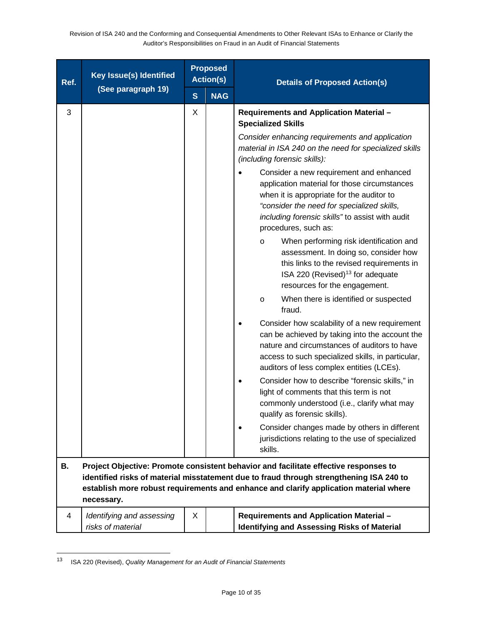| Ref. | Key Issue(s) Identified                        | <b>Proposed</b><br><b>Action(s)</b> |            | <b>Details of Proposed Action(s)</b>                                                                                                                                                                                                                                     |
|------|------------------------------------------------|-------------------------------------|------------|--------------------------------------------------------------------------------------------------------------------------------------------------------------------------------------------------------------------------------------------------------------------------|
|      | (See paragraph 19)                             | $\mathbf{s}$                        | <b>NAG</b> |                                                                                                                                                                                                                                                                          |
| 3    |                                                | Χ                                   |            | Requirements and Application Material -<br><b>Specialized Skills</b><br>Consider enhancing requirements and application<br>material in ISA 240 on the need for specialized skills<br>(including forensic skills):                                                        |
|      |                                                |                                     |            | Consider a new requirement and enhanced<br>application material for those circumstances<br>when it is appropriate for the auditor to<br>"consider the need for specialized skills,<br>including forensic skills" to assist with audit<br>procedures, such as:            |
|      |                                                |                                     |            | When performing risk identification and<br>$\circ$<br>assessment. In doing so, consider how<br>this links to the revised requirements in<br>ISA 220 (Revised) <sup>13</sup> for adequate<br>resources for the engagement.                                                |
|      |                                                |                                     |            | When there is identified or suspected<br>O<br>fraud.                                                                                                                                                                                                                     |
|      |                                                |                                     |            | Consider how scalability of a new requirement<br>can be achieved by taking into the account the<br>nature and circumstances of auditors to have<br>access to such specialized skills, in particular,<br>auditors of less complex entities (LCEs).                        |
|      |                                                |                                     |            | Consider how to describe "forensic skills," in<br>light of comments that this term is not<br>commonly understood (i.e., clarify what may<br>qualify as forensic skills).                                                                                                 |
|      |                                                |                                     |            | Consider changes made by others in different<br>jurisdictions relating to the use of specialized<br>skills.                                                                                                                                                              |
| В.   | necessary.                                     |                                     |            | Project Objective: Promote consistent behavior and facilitate effective responses to<br>identified risks of material misstatement due to fraud through strengthening ISA 240 to<br>establish more robust requirements and enhance and clarify application material where |
| 4    | Identifying and assessing<br>risks of material | X.                                  |            | Requirements and Application Material -<br><b>Identifying and Assessing Risks of Material</b>                                                                                                                                                                            |

<span id="page-9-0"></span><sup>13</sup> ISA 220 (Revised), *Quality Management for an Audit of Financial Statements*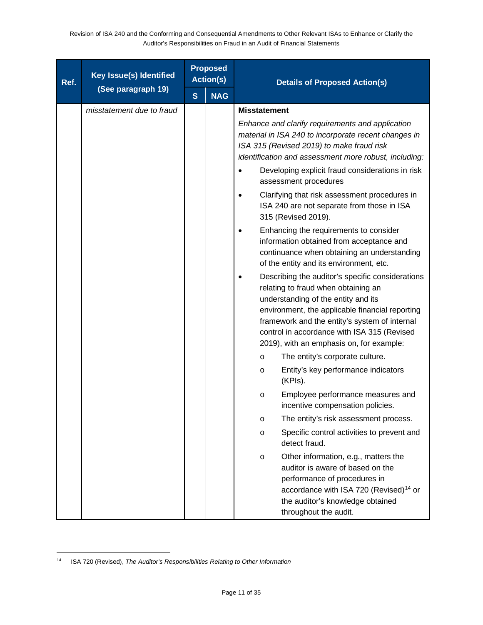| Ref. | <b>Key Issue(s) Identified</b> | <b>Proposed</b><br><b>Action(s)</b> |            | <b>Details of Proposed Action(s)</b>                                                                                                                                                                                                                                                                                          |
|------|--------------------------------|-------------------------------------|------------|-------------------------------------------------------------------------------------------------------------------------------------------------------------------------------------------------------------------------------------------------------------------------------------------------------------------------------|
|      | (See paragraph 19)             | S                                   | <b>NAG</b> |                                                                                                                                                                                                                                                                                                                               |
|      | misstatement due to fraud      |                                     |            | <b>Misstatement</b>                                                                                                                                                                                                                                                                                                           |
|      |                                |                                     |            | Enhance and clarify requirements and application<br>material in ISA 240 to incorporate recent changes in<br>ISA 315 (Revised 2019) to make fraud risk<br>identification and assessment more robust, including:                                                                                                                |
|      |                                |                                     |            | Developing explicit fraud considerations in risk<br>assessment procedures                                                                                                                                                                                                                                                     |
|      |                                |                                     |            | Clarifying that risk assessment procedures in<br>ISA 240 are not separate from those in ISA<br>315 (Revised 2019).                                                                                                                                                                                                            |
|      |                                |                                     |            | Enhancing the requirements to consider<br>information obtained from acceptance and<br>continuance when obtaining an understanding<br>of the entity and its environment, etc.                                                                                                                                                  |
|      |                                |                                     |            | Describing the auditor's specific considerations<br>relating to fraud when obtaining an<br>understanding of the entity and its<br>environment, the applicable financial reporting<br>framework and the entity's system of internal<br>control in accordance with ISA 315 (Revised<br>2019), with an emphasis on, for example: |
|      |                                |                                     |            | The entity's corporate culture.<br>$\circ$                                                                                                                                                                                                                                                                                    |
|      |                                |                                     |            | Entity's key performance indicators<br>$\circ$<br>(KPIs).                                                                                                                                                                                                                                                                     |
|      |                                |                                     |            | Employee performance measures and<br>$\circ$<br>incentive compensation policies.                                                                                                                                                                                                                                              |
|      |                                |                                     |            | The entity's risk assessment process.<br>$\circ$                                                                                                                                                                                                                                                                              |
|      |                                |                                     |            | Specific control activities to prevent and<br>$\circ$<br>detect fraud.                                                                                                                                                                                                                                                        |
|      |                                |                                     |            | Other information, e.g., matters the<br>$\circ$<br>auditor is aware of based on the<br>performance of procedures in<br>accordance with ISA 720 (Revised) <sup>14</sup> or<br>the auditor's knowledge obtained<br>throughout the audit.                                                                                        |

<span id="page-10-0"></span><sup>14</sup> ISA 720 (Revised), *The Auditor's Responsibilities Relating to Other Information*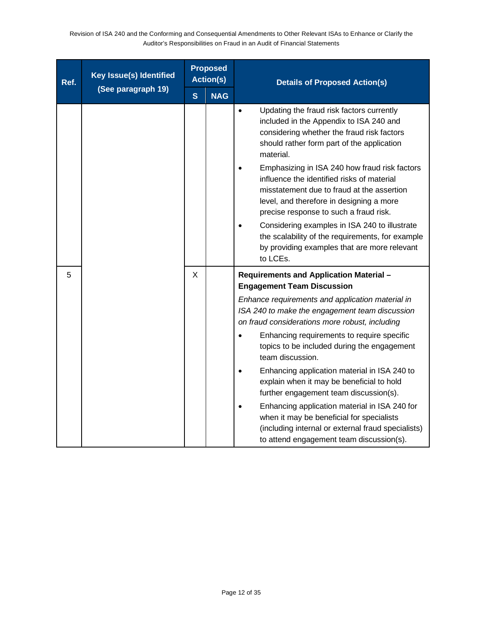| Ref. | Key Issue(s) Identified |              | <b>Proposed</b><br><b>Action(s)</b> | <b>Details of Proposed Action(s)</b>                                                                                                                                                                                                                                                                                                                                                                                                                                                                                                                                                  |
|------|-------------------------|--------------|-------------------------------------|---------------------------------------------------------------------------------------------------------------------------------------------------------------------------------------------------------------------------------------------------------------------------------------------------------------------------------------------------------------------------------------------------------------------------------------------------------------------------------------------------------------------------------------------------------------------------------------|
|      | (See paragraph 19)      | $\mathbf{s}$ | <b>NAG</b>                          |                                                                                                                                                                                                                                                                                                                                                                                                                                                                                                                                                                                       |
|      |                         |              |                                     | Updating the fraud risk factors currently<br>included in the Appendix to ISA 240 and<br>considering whether the fraud risk factors<br>should rather form part of the application<br>material.<br>Emphasizing in ISA 240 how fraud risk factors<br>influence the identified risks of material<br>misstatement due to fraud at the assertion<br>level, and therefore in designing a more<br>precise response to such a fraud risk.<br>Considering examples in ISA 240 to illustrate<br>the scalability of the requirements, for example<br>by providing examples that are more relevant |
|      |                         |              |                                     | to LCEs.                                                                                                                                                                                                                                                                                                                                                                                                                                                                                                                                                                              |
| 5    |                         | X            |                                     | Requirements and Application Material -<br><b>Engagement Team Discussion</b>                                                                                                                                                                                                                                                                                                                                                                                                                                                                                                          |
|      |                         |              |                                     | Enhance requirements and application material in<br>ISA 240 to make the engagement team discussion<br>on fraud considerations more robust, including                                                                                                                                                                                                                                                                                                                                                                                                                                  |
|      |                         |              |                                     | Enhancing requirements to require specific<br>topics to be included during the engagement<br>team discussion.                                                                                                                                                                                                                                                                                                                                                                                                                                                                         |
|      |                         |              |                                     | Enhancing application material in ISA 240 to<br>explain when it may be beneficial to hold<br>further engagement team discussion(s).                                                                                                                                                                                                                                                                                                                                                                                                                                                   |
|      |                         |              |                                     | Enhancing application material in ISA 240 for<br>when it may be beneficial for specialists<br>(including internal or external fraud specialists)<br>to attend engagement team discussion(s).                                                                                                                                                                                                                                                                                                                                                                                          |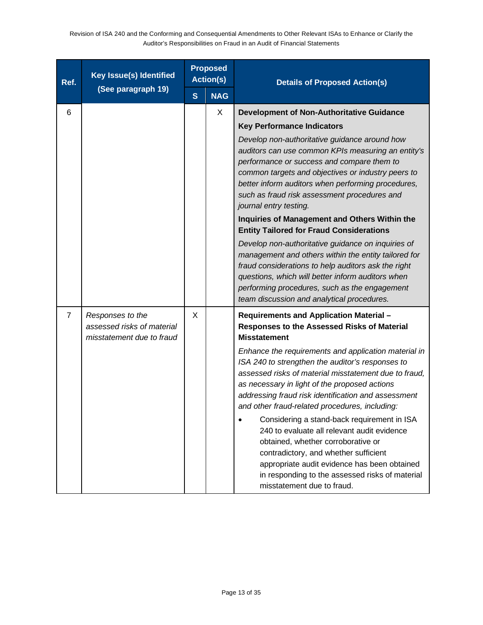| Ref.           | <b>Key Issue(s) Identified</b>                                              |   | <b>Proposed</b><br><b>Action(s)</b> | <b>Details of Proposed Action(s)</b>                                                                                                                                                                                                                                                                                                                                                                                                                                                                                                                                                                                                                                                                                                                                                                            |
|----------------|-----------------------------------------------------------------------------|---|-------------------------------------|-----------------------------------------------------------------------------------------------------------------------------------------------------------------------------------------------------------------------------------------------------------------------------------------------------------------------------------------------------------------------------------------------------------------------------------------------------------------------------------------------------------------------------------------------------------------------------------------------------------------------------------------------------------------------------------------------------------------------------------------------------------------------------------------------------------------|
|                | (See paragraph 19)                                                          | S | <b>NAG</b>                          |                                                                                                                                                                                                                                                                                                                                                                                                                                                                                                                                                                                                                                                                                                                                                                                                                 |
| 6              |                                                                             |   | X                                   | <b>Development of Non-Authoritative Guidance</b><br><b>Key Performance Indicators</b><br>Develop non-authoritative guidance around how<br>auditors can use common KPIs measuring an entity's<br>performance or success and compare them to<br>common targets and objectives or industry peers to<br>better inform auditors when performing procedures,<br>such as fraud risk assessment procedures and<br>journal entry testing.<br>Inquiries of Management and Others Within the<br><b>Entity Tailored for Fraud Considerations</b><br>Develop non-authoritative guidance on inquiries of<br>management and others within the entity tailored for<br>fraud considerations to help auditors ask the right<br>questions, which will better inform auditors when<br>performing procedures, such as the engagement |
| $\overline{7}$ | Responses to the<br>assessed risks of material<br>misstatement due to fraud | X |                                     | team discussion and analytical procedures.<br>Requirements and Application Material -<br>Responses to the Assessed Risks of Material<br><b>Misstatement</b><br>Enhance the requirements and application material in<br>ISA 240 to strengthen the auditor's responses to<br>assessed risks of material misstatement due to fraud,<br>as necessary in light of the proposed actions<br>addressing fraud risk identification and assessment<br>and other fraud-related procedures, including:<br>Considering a stand-back requirement in ISA<br>240 to evaluate all relevant audit evidence<br>obtained, whether corroborative or<br>contradictory, and whether sufficient<br>appropriate audit evidence has been obtained<br>in responding to the assessed risks of material<br>misstatement due to fraud.        |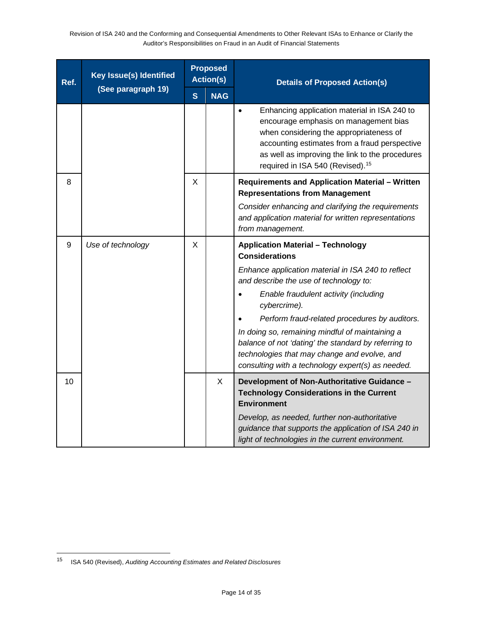| Ref. | Key Issue(s) Identified | <b>Proposed</b><br><b>Action(s)</b> |            | <b>Details of Proposed Action(s)</b>                                                                                                                                                                                                                                                 |
|------|-------------------------|-------------------------------------|------------|--------------------------------------------------------------------------------------------------------------------------------------------------------------------------------------------------------------------------------------------------------------------------------------|
|      | (See paragraph 19)      | $\mathbf{s}$                        | <b>NAG</b> |                                                                                                                                                                                                                                                                                      |
|      |                         |                                     |            | Enhancing application material in ISA 240 to<br>encourage emphasis on management bias<br>when considering the appropriateness of<br>accounting estimates from a fraud perspective<br>as well as improving the link to the procedures<br>required in ISA 540 (Revised). <sup>15</sup> |
| 8    |                         | X                                   |            | <b>Requirements and Application Material - Written</b><br><b>Representations from Management</b>                                                                                                                                                                                     |
|      |                         |                                     |            | Consider enhancing and clarifying the requirements<br>and application material for written representations<br>from management.                                                                                                                                                       |
| 9    | Use of technology       | X                                   |            | <b>Application Material - Technology</b><br><b>Considerations</b>                                                                                                                                                                                                                    |
|      |                         |                                     |            | Enhance application material in ISA 240 to reflect<br>and describe the use of technology to:                                                                                                                                                                                         |
|      |                         |                                     |            | Enable fraudulent activity (including<br>cybercrime).                                                                                                                                                                                                                                |
|      |                         |                                     |            | Perform fraud-related procedures by auditors.<br>In doing so, remaining mindful of maintaining a                                                                                                                                                                                     |
|      |                         |                                     |            | balance of not 'dating' the standard by referring to<br>technologies that may change and evolve, and<br>consulting with a technology expert(s) as needed.                                                                                                                            |
| 10   |                         |                                     | X          | Development of Non-Authoritative Guidance -<br><b>Technology Considerations in the Current</b><br><b>Environment</b>                                                                                                                                                                 |
|      |                         |                                     |            | Develop, as needed, further non-authoritative<br>guidance that supports the application of ISA 240 in<br>light of technologies in the current environment.                                                                                                                           |

<span id="page-13-0"></span><sup>15</sup> ISA 540 (Revised), *Auditing Accounting Estimates and Related Disclosures*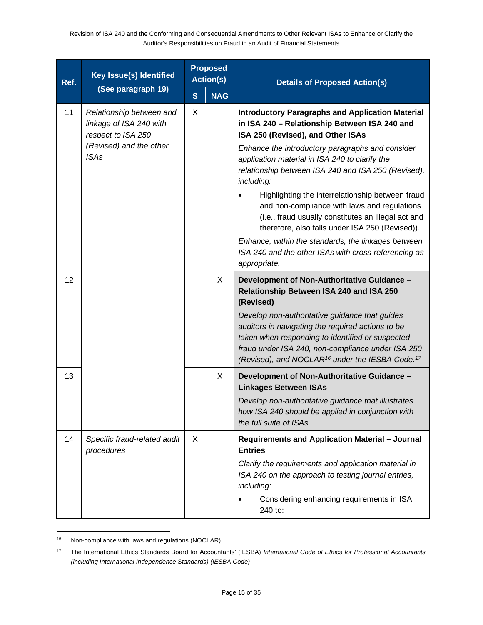| Ref. | Key Issue(s) Identified                                                                              |              | <b>Proposed</b><br><b>Action(s)</b> | <b>Details of Proposed Action(s)</b>                                                                                                                                                                                                                                                    |
|------|------------------------------------------------------------------------------------------------------|--------------|-------------------------------------|-----------------------------------------------------------------------------------------------------------------------------------------------------------------------------------------------------------------------------------------------------------------------------------------|
|      | (See paragraph 19)                                                                                   | $\mathbf{s}$ | <b>NAG</b>                          |                                                                                                                                                                                                                                                                                         |
| 11   | Relationship between and<br>linkage of ISA 240 with<br>respect to ISA 250<br>(Revised) and the other | X            |                                     | <b>Introductory Paragraphs and Application Material</b><br>in ISA 240 - Relationship Between ISA 240 and<br>ISA 250 (Revised), and Other ISAs<br>Enhance the introductory paragraphs and consider                                                                                       |
|      | <b>ISAs</b>                                                                                          |              |                                     | application material in ISA 240 to clarify the<br>relationship between ISA 240 and ISA 250 (Revised),<br>including:                                                                                                                                                                     |
|      |                                                                                                      |              |                                     | Highlighting the interrelationship between fraud<br>and non-compliance with laws and regulations<br>(i.e., fraud usually constitutes an illegal act and<br>therefore, also falls under ISA 250 (Revised)).                                                                              |
|      |                                                                                                      |              |                                     | Enhance, within the standards, the linkages between<br>ISA 240 and the other ISAs with cross-referencing as<br>appropriate.                                                                                                                                                             |
| 12   |                                                                                                      |              | X                                   | Development of Non-Authoritative Guidance -<br>Relationship Between ISA 240 and ISA 250<br>(Revised)                                                                                                                                                                                    |
|      |                                                                                                      |              |                                     | Develop non-authoritative guidance that guides<br>auditors in navigating the required actions to be<br>taken when responding to identified or suspected<br>fraud under ISA 240, non-compliance under ISA 250<br>(Revised), and NOCLAR <sup>16</sup> under the IESBA Code. <sup>17</sup> |
| 13   |                                                                                                      |              | X                                   | Development of Non-Authoritative Guidance -<br><b>Linkages Between ISAs</b>                                                                                                                                                                                                             |
|      |                                                                                                      |              |                                     | Develop non-authoritative guidance that illustrates<br>how ISA 240 should be applied in conjunction with<br>the full suite of ISAs.                                                                                                                                                     |
| 14   | Specific fraud-related audit<br>procedures                                                           | X            |                                     | Requirements and Application Material - Journal<br><b>Entries</b>                                                                                                                                                                                                                       |
|      |                                                                                                      |              |                                     | Clarify the requirements and application material in<br>ISA 240 on the approach to testing journal entries,<br>including:                                                                                                                                                               |
|      |                                                                                                      |              |                                     | Considering enhancing requirements in ISA<br>240 to:                                                                                                                                                                                                                                    |

<span id="page-14-0"></span><sup>&</sup>lt;sup>16</sup> Non-compliance with laws and regulations (NOCLAR)

<span id="page-14-1"></span><sup>17</sup> The International Ethics Standards Board for Accountants' (IESBA) *International Code of Ethics for Professional Accountants (including International Independence Standards) (IESBA Code)*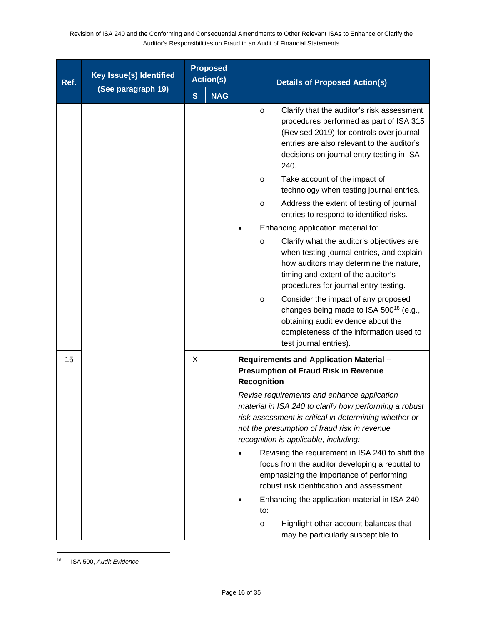| Ref. | <b>Key Issue(s) Identified</b> |   | <b>Proposed</b><br><b>Action(s)</b> | <b>Details of Proposed Action(s)</b>                                                                                                                                                                                                                    |
|------|--------------------------------|---|-------------------------------------|---------------------------------------------------------------------------------------------------------------------------------------------------------------------------------------------------------------------------------------------------------|
|      | (See paragraph 19)             | S | <b>NAG</b>                          |                                                                                                                                                                                                                                                         |
|      |                                |   |                                     | Clarify that the auditor's risk assessment<br>$\circ$<br>procedures performed as part of ISA 315<br>(Revised 2019) for controls over journal<br>entries are also relevant to the auditor's<br>decisions on journal entry testing in ISA<br>240.         |
|      |                                |   |                                     | Take account of the impact of<br>$\circ$<br>technology when testing journal entries.                                                                                                                                                                    |
|      |                                |   |                                     | Address the extent of testing of journal<br>$\circ$<br>entries to respond to identified risks.                                                                                                                                                          |
|      |                                |   |                                     | Enhancing application material to:                                                                                                                                                                                                                      |
|      |                                |   |                                     | Clarify what the auditor's objectives are<br>$\circ$<br>when testing journal entries, and explain<br>how auditors may determine the nature,<br>timing and extent of the auditor's<br>procedures for journal entry testing.                              |
|      |                                |   |                                     | Consider the impact of any proposed<br>$\circ$<br>changes being made to ISA 500 <sup>18</sup> (e.g.,<br>obtaining audit evidence about the<br>completeness of the information used to<br>test journal entries).                                         |
| 15   |                                | X |                                     | Requirements and Application Material -<br><b>Presumption of Fraud Risk in Revenue</b><br><b>Recognition</b>                                                                                                                                            |
|      |                                |   |                                     | Revise requirements and enhance application<br>material in ISA 240 to clarify how performing a robust<br>risk assessment is critical in determining whether or<br>not the presumption of fraud risk in revenue<br>recognition is applicable, including: |
|      |                                |   |                                     | Revising the requirement in ISA 240 to shift the<br>focus from the auditor developing a rebuttal to<br>emphasizing the importance of performing<br>robust risk identification and assessment.                                                           |
|      |                                |   |                                     | Enhancing the application material in ISA 240<br>to:                                                                                                                                                                                                    |
|      |                                |   |                                     | Highlight other account balances that<br>$\circ$<br>may be particularly susceptible to                                                                                                                                                                  |

<span id="page-15-0"></span><sup>18</sup> ISA 500, *Audit Evidence*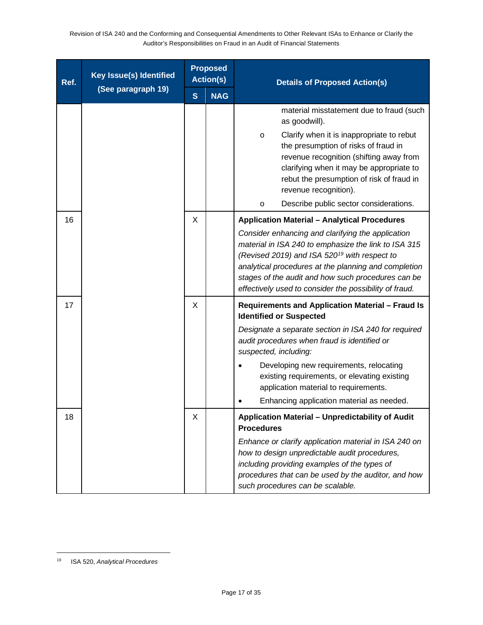| Ref. | <b>Key Issue(s) Identified</b> |              | <b>Proposed</b><br><b>Action(s)</b> | <b>Details of Proposed Action(s)</b>                                                                                                                                                                                                                                                                                                                                                                 |
|------|--------------------------------|--------------|-------------------------------------|------------------------------------------------------------------------------------------------------------------------------------------------------------------------------------------------------------------------------------------------------------------------------------------------------------------------------------------------------------------------------------------------------|
|      | (See paragraph 19)             | $\mathbf{s}$ | <b>NAG</b>                          |                                                                                                                                                                                                                                                                                                                                                                                                      |
|      |                                |              |                                     | material misstatement due to fraud (such<br>as goodwill).                                                                                                                                                                                                                                                                                                                                            |
|      |                                |              |                                     | Clarify when it is inappropriate to rebut<br>$\circ$<br>the presumption of risks of fraud in<br>revenue recognition (shifting away from<br>clarifying when it may be appropriate to<br>rebut the presumption of risk of fraud in<br>revenue recognition).                                                                                                                                            |
|      |                                |              |                                     | Describe public sector considerations.<br>$\circ$                                                                                                                                                                                                                                                                                                                                                    |
| 16   |                                | Χ            |                                     | <b>Application Material - Analytical Procedures</b><br>Consider enhancing and clarifying the application<br>material in ISA 240 to emphasize the link to ISA 315<br>(Revised 2019) and ISA 520 <sup>19</sup> with respect to<br>analytical procedures at the planning and completion<br>stages of the audit and how such procedures can be<br>effectively used to consider the possibility of fraud. |
| 17   |                                | X            |                                     | Requirements and Application Material - Fraud Is<br><b>Identified or Suspected</b>                                                                                                                                                                                                                                                                                                                   |
|      |                                |              |                                     | Designate a separate section in ISA 240 for required<br>audit procedures when fraud is identified or<br>suspected, including:<br>Developing new requirements, relocating                                                                                                                                                                                                                             |
|      |                                |              |                                     | existing requirements, or elevating existing<br>application material to requirements.<br>Enhancing application material as needed.                                                                                                                                                                                                                                                                   |
| 18   |                                | Χ            |                                     | Application Material - Unpredictability of Audit                                                                                                                                                                                                                                                                                                                                                     |
|      |                                |              |                                     | <b>Procedures</b>                                                                                                                                                                                                                                                                                                                                                                                    |
|      |                                |              |                                     | Enhance or clarify application material in ISA 240 on<br>how to design unpredictable audit procedures,<br>including providing examples of the types of<br>procedures that can be used by the auditor, and how<br>such procedures can be scalable.                                                                                                                                                    |

<span id="page-16-0"></span><sup>19</sup> ISA 520, *Analytical Procedures*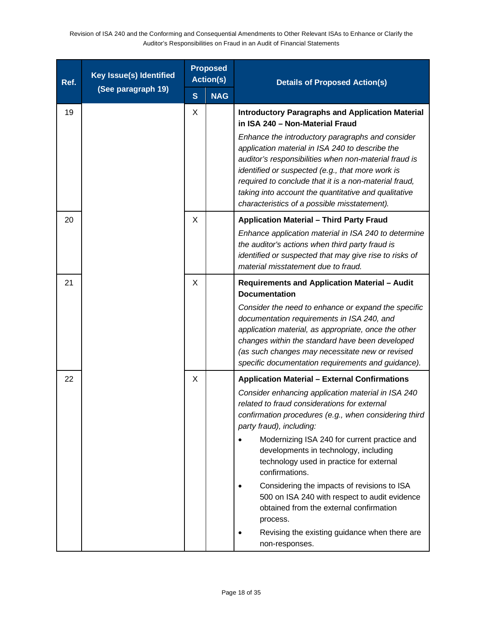| Ref. | <b>Key Issue(s) Identified</b> |   | <b>Proposed</b><br><b>Action(s)</b> | <b>Details of Proposed Action(s)</b>                                                                                                                                                                                                                                                                                                                                                                                                                                                                                                                                                                                             |
|------|--------------------------------|---|-------------------------------------|----------------------------------------------------------------------------------------------------------------------------------------------------------------------------------------------------------------------------------------------------------------------------------------------------------------------------------------------------------------------------------------------------------------------------------------------------------------------------------------------------------------------------------------------------------------------------------------------------------------------------------|
|      | (See paragraph 19)             | S | <b>NAG</b>                          |                                                                                                                                                                                                                                                                                                                                                                                                                                                                                                                                                                                                                                  |
| 19   |                                | X |                                     | <b>Introductory Paragraphs and Application Material</b><br>in ISA 240 - Non-Material Fraud<br>Enhance the introductory paragraphs and consider<br>application material in ISA 240 to describe the<br>auditor's responsibilities when non-material fraud is<br>identified or suspected (e.g., that more work is<br>required to conclude that it is a non-material fraud,<br>taking into account the quantitative and qualitative<br>characteristics of a possible misstatement).                                                                                                                                                  |
| 20   |                                | X |                                     | <b>Application Material - Third Party Fraud</b><br>Enhance application material in ISA 240 to determine<br>the auditor's actions when third party fraud is<br>identified or suspected that may give rise to risks of<br>material misstatement due to fraud.                                                                                                                                                                                                                                                                                                                                                                      |
| 21   |                                | X |                                     | <b>Requirements and Application Material - Audit</b><br><b>Documentation</b><br>Consider the need to enhance or expand the specific<br>documentation requirements in ISA 240, and<br>application material, as appropriate, once the other<br>changes within the standard have been developed<br>(as such changes may necessitate new or revised<br>specific documentation requirements and guidance).                                                                                                                                                                                                                            |
| 22   |                                | X |                                     | <b>Application Material - External Confirmations</b><br>Consider enhancing application material in ISA 240<br>related to fraud considerations for external<br>confirmation procedures (e.g., when considering third<br>party fraud), including:<br>Modernizing ISA 240 for current practice and<br>developments in technology, including<br>technology used in practice for external<br>confirmations.<br>Considering the impacts of revisions to ISA<br>500 on ISA 240 with respect to audit evidence<br>obtained from the external confirmation<br>process.<br>Revising the existing guidance when there are<br>non-responses. |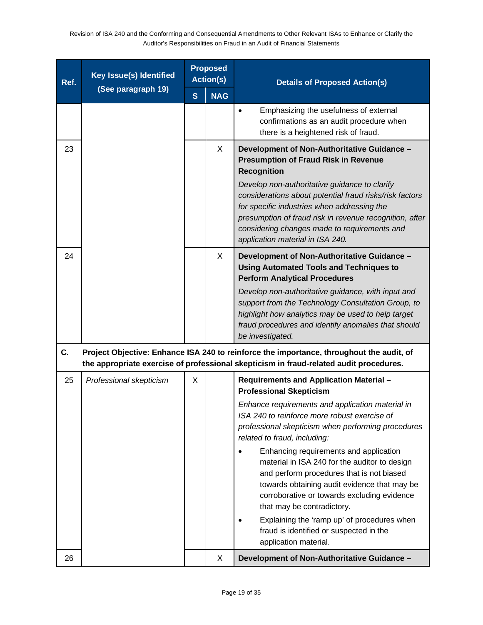| Ref. | <b>Key Issue(s) Identified</b> | <b>Proposed</b><br><b>Action(s)</b> |            | <b>Details of Proposed Action(s)</b>                                                                                                                                                                                                                                                                                                                                                                                                                                                                                                                                                                                                                        |
|------|--------------------------------|-------------------------------------|------------|-------------------------------------------------------------------------------------------------------------------------------------------------------------------------------------------------------------------------------------------------------------------------------------------------------------------------------------------------------------------------------------------------------------------------------------------------------------------------------------------------------------------------------------------------------------------------------------------------------------------------------------------------------------|
|      | (See paragraph 19)             | S                                   | <b>NAG</b> |                                                                                                                                                                                                                                                                                                                                                                                                                                                                                                                                                                                                                                                             |
|      |                                |                                     |            | Emphasizing the usefulness of external<br>$\bullet$<br>confirmations as an audit procedure when<br>there is a heightened risk of fraud.                                                                                                                                                                                                                                                                                                                                                                                                                                                                                                                     |
| 23   |                                |                                     | X          | Development of Non-Authoritative Guidance -<br><b>Presumption of Fraud Risk in Revenue</b><br><b>Recognition</b><br>Develop non-authoritative guidance to clarify<br>considerations about potential fraud risks/risk factors<br>for specific industries when addressing the<br>presumption of fraud risk in revenue recognition, after<br>considering changes made to requirements and<br>application material in ISA 240.                                                                                                                                                                                                                                  |
| 24   |                                |                                     | X          | Development of Non-Authoritative Guidance -<br><b>Using Automated Tools and Techniques to</b><br><b>Perform Analytical Procedures</b>                                                                                                                                                                                                                                                                                                                                                                                                                                                                                                                       |
|      |                                |                                     |            | Develop non-authoritative guidance, with input and<br>support from the Technology Consultation Group, to<br>highlight how analytics may be used to help target<br>fraud procedures and identify anomalies that should<br>be investigated.                                                                                                                                                                                                                                                                                                                                                                                                                   |
| C.   |                                |                                     |            | Project Objective: Enhance ISA 240 to reinforce the importance, throughout the audit, of<br>the appropriate exercise of professional skepticism in fraud-related audit procedures.                                                                                                                                                                                                                                                                                                                                                                                                                                                                          |
| 25   | Professional skepticism        | X                                   |            | Requirements and Application Material -<br><b>Professional Skepticism</b><br>Enhance requirements and application material in<br>ISA 240 to reinforce more robust exercise of<br>professional skepticism when performing procedures<br>related to fraud, including:<br>Enhancing requirements and application<br>material in ISA 240 for the auditor to design<br>and perform procedures that is not biased<br>towards obtaining audit evidence that may be<br>corroborative or towards excluding evidence<br>that may be contradictory.<br>Explaining the 'ramp up' of procedures when<br>fraud is identified or suspected in the<br>application material. |
| 26   |                                |                                     | X          | Development of Non-Authoritative Guidance -                                                                                                                                                                                                                                                                                                                                                                                                                                                                                                                                                                                                                 |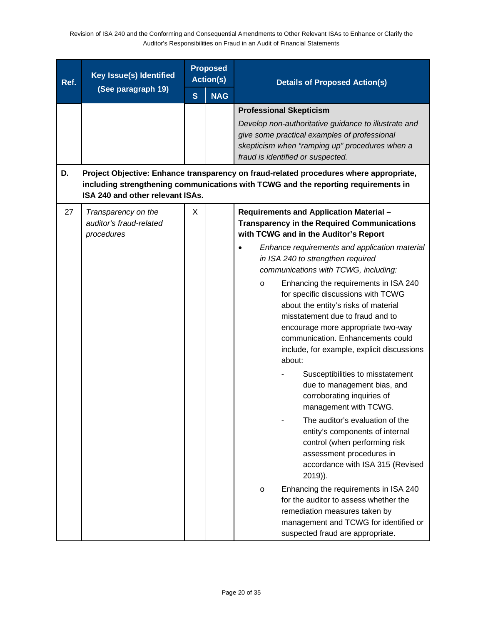| Ref. | <b>Key Issue(s) Identified</b>                                                                   |              | <b>Proposed</b><br><b>Action(s)</b> | <b>Details of Proposed Action(s)</b>                                                                                                                                                                                                                                                                                                                                                                                                                                                                                                                                                                                                                                                                                                       |
|------|--------------------------------------------------------------------------------------------------|--------------|-------------------------------------|--------------------------------------------------------------------------------------------------------------------------------------------------------------------------------------------------------------------------------------------------------------------------------------------------------------------------------------------------------------------------------------------------------------------------------------------------------------------------------------------------------------------------------------------------------------------------------------------------------------------------------------------------------------------------------------------------------------------------------------------|
|      | (See paragraph 19)                                                                               | $\mathbf{s}$ | <b>NAG</b>                          |                                                                                                                                                                                                                                                                                                                                                                                                                                                                                                                                                                                                                                                                                                                                            |
| D.   |                                                                                                  |              |                                     | <b>Professional Skepticism</b><br>Develop non-authoritative guidance to illustrate and<br>give some practical examples of professional<br>skepticism when "ramping up" procedures when a<br>fraud is identified or suspected.<br>Project Objective: Enhance transparency on fraud-related procedures where appropriate,<br>including strengthening communications with TCWG and the reporting requirements in                                                                                                                                                                                                                                                                                                                              |
| 27   | ISA 240 and other relevant ISAs.<br>Transparency on the<br>auditor's fraud-related<br>procedures | X            |                                     | Requirements and Application Material -<br><b>Transparency in the Required Communications</b><br>with TCWG and in the Auditor's Report<br>Enhance requirements and application material<br>in ISA 240 to strengthen required<br>communications with TCWG, including:<br>Enhancing the requirements in ISA 240<br>$\circ$<br>for specific discussions with TCWG<br>about the entity's risks of material<br>misstatement due to fraud and to<br>encourage more appropriate two-way<br>communication. Enhancements could<br>include, for example, explicit discussions<br>about:<br>Susceptibilities to misstatement<br>due to management bias, and<br>corroborating inquiries of<br>management with TCWG.<br>The auditor's evaluation of the |
|      |                                                                                                  |              |                                     | entity's components of internal<br>control (when performing risk<br>assessment procedures in<br>accordance with ISA 315 (Revised<br>$2019$ ).<br>Enhancing the requirements in ISA 240<br>$\circ$<br>for the auditor to assess whether the<br>remediation measures taken by<br>management and TCWG for identified or<br>suspected fraud are appropriate.                                                                                                                                                                                                                                                                                                                                                                                   |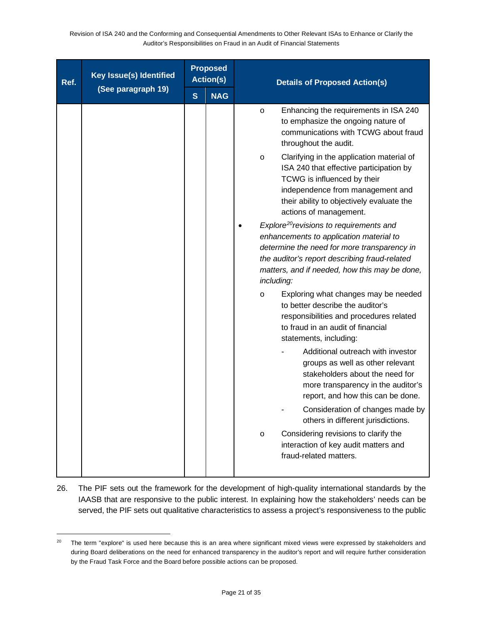| Ref. | Key Issue(s) Identified<br>(See paragraph 19) | <b>Proposed</b><br><b>Action(s)</b> |            | <b>Details of Proposed Action(s)</b>                                                                                                                                                                                                                          |  |
|------|-----------------------------------------------|-------------------------------------|------------|---------------------------------------------------------------------------------------------------------------------------------------------------------------------------------------------------------------------------------------------------------------|--|
|      |                                               | S                                   | <b>NAG</b> |                                                                                                                                                                                                                                                               |  |
|      |                                               |                                     |            | Enhancing the requirements in ISA 240<br>$\circ$<br>to emphasize the ongoing nature of<br>communications with TCWG about fraud<br>throughout the audit.                                                                                                       |  |
|      |                                               |                                     |            | Clarifying in the application material of<br>$\circ$<br>ISA 240 that effective participation by<br>TCWG is influenced by their<br>independence from management and<br>their ability to objectively evaluate the<br>actions of management.                     |  |
|      |                                               |                                     |            | Explore <sup>20</sup> revisions to requirements and<br>enhancements to application material to<br>determine the need for more transparency in<br>the auditor's report describing fraud-related<br>matters, and if needed, how this may be done,<br>including: |  |
|      |                                               |                                     |            | Exploring what changes may be needed<br>$\circ$<br>to better describe the auditor's<br>responsibilities and procedures related<br>to fraud in an audit of financial<br>statements, including:                                                                 |  |
|      |                                               |                                     |            | Additional outreach with investor<br>groups as well as other relevant<br>stakeholders about the need for<br>more transparency in the auditor's<br>report, and how this can be done.                                                                           |  |
|      |                                               |                                     |            | Consideration of changes made by<br>others in different jurisdictions.                                                                                                                                                                                        |  |
|      |                                               |                                     |            | Considering revisions to clarify the<br>$\circ$<br>interaction of key audit matters and<br>fraud-related matters.                                                                                                                                             |  |

26. The PIF sets out the framework for the development of high-quality international standards by the IAASB that are responsive to the public interest. In explaining how the stakeholders' needs can be served, the PIF sets out qualitative characteristics to assess a project's responsiveness to the public

<span id="page-20-0"></span><sup>&</sup>lt;sup>20</sup> The term "explore" is used here because this is an area where significant mixed views were expressed by stakeholders and during Board deliberations on the need for enhanced transparency in the auditor's report and will require further consideration by the Fraud Task Force and the Board before possible actions can be proposed.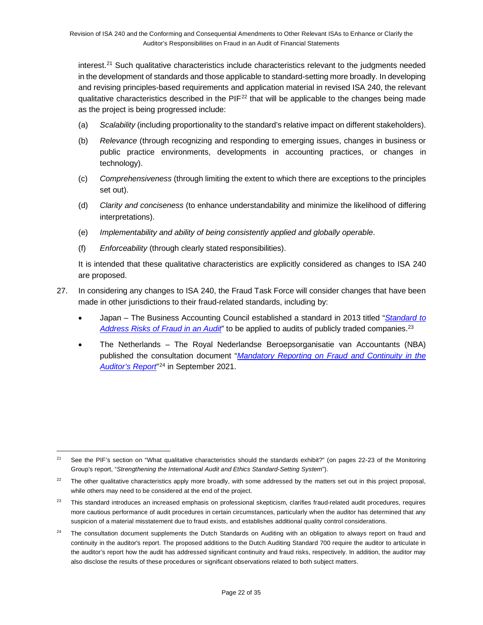interest. [21](#page-21-0) Such qualitative characteristics include characteristics relevant to the judgments needed in the development of standards and those applicable to standard-setting more broadly. In developing and revising principles-based requirements and application material in revised ISA 240, the relevant qualitative characteristics described in the  $PIF<sup>22</sup>$  $PIF<sup>22</sup>$  $PIF<sup>22</sup>$  that will be applicable to the changes being made as the project is being progressed include:

- (a) *Scalability* (including proportionality to the standard's relative impact on different stakeholders).
- (b) *Relevance* (through recognizing and responding to emerging issues, changes in business or public practice environments, developments in accounting practices, or changes in technology).
- (c) *Comprehensiveness* (through limiting the extent to which there are exceptions to the principles set out).
- (d) *Clarity and conciseness* (to enhance understandability and minimize the likelihood of differing interpretations).
- (e) *Implementability and ability of being consistently applied and globally operable*.
- (f) *Enforceability* (through clearly stated responsibilities).

It is intended that these qualitative characteristics are explicitly considered as changes to ISA 240 are proposed.

- 27. In considering any changes to ISA 240, the Fraud Task Force will consider changes that have been made in other jurisdictions to their fraud-related standards, including by:
	- Japan The Business Accounting Council established a standard in 2013 titled "*[Standard to](https://jicpa.or.jp/english/accounting/system/pdf/20130326.pdf)  [Address Risks of Fraud in an Audit](https://jicpa.or.jp/english/accounting/system/pdf/20130326.pdf)*" to be applied to audits of publicly traded companies[.23](#page-21-2)
	- The Netherlands The Royal Nederlandse Beroepsorganisatie van Accountants (NBA) published the consultation document "*[Mandatory Reporting on Fraud and Continuity in the](https://www.nba.nl/globalassets/wet--en-regelgeving/consultaties/lopende-consultaties/consultatiedocument-verplichte-rapportering-over-fraude-en-continuiteit-13-september-2021.pdf)  [Auditor's Report](https://www.nba.nl/globalassets/wet--en-regelgeving/consultaties/lopende-consultaties/consultatiedocument-verplichte-rapportering-over-fraude-en-continuiteit-13-september-2021.pdf)*"[24](#page-21-3) in September 2021.

<span id="page-21-0"></span><sup>&</sup>lt;sup>21</sup> See the PIF's section on "What qualitative characteristics should the standards exhibit?" (on pages 22-23 of the Monitoring Group's report, "*Strengthening the International Audit and Ethics Standard-Setting System*").

<span id="page-21-1"></span> $22$  The other qualitative characteristics apply more broadly, with some addressed by the matters set out in this project proposal, while others may need to be considered at the end of the project.

<span id="page-21-2"></span><sup>&</sup>lt;sup>23</sup> This standard introduces an increased emphasis on professional skepticism, clarifies fraud-related audit procedures, requires more cautious performance of audit procedures in certain circumstances, particularly when the auditor has determined that any suspicion of a material misstatement due to fraud exists, and establishes additional quality control considerations.

<span id="page-21-3"></span><sup>&</sup>lt;sup>24</sup> The consultation document supplements the Dutch Standards on Auditing with an obligation to always report on fraud and continuity in the auditor's report. The proposed additions to the Dutch Auditing Standard 700 require the auditor to articulate in the auditor's report how the audit has addressed significant continuity and fraud risks, respectively. In addition, the auditor may also disclose the results of these procedures or significant observations related to both subject matters.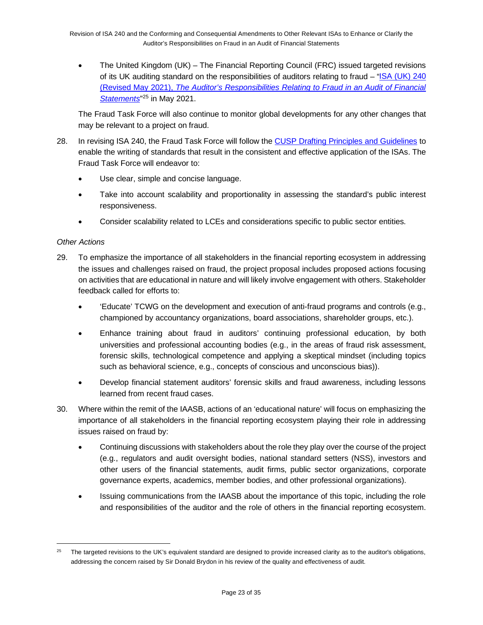• The United Kingdom (UK) – The Financial Reporting Council (FRC) issued targeted revisions of its UK auditing standard on the responsibilities of auditors relating to fraud – ["ISA \(UK\) 240](https://www.frc.org.uk/getattachment/e48499f2-b69b-4f45-8bef-762583eab1cd/ISA-(UK)-240-Final.pdf)  (Revised May 2021), *[The Auditor's Responsibilities Relating to Fraud in an Audit of Financial](https://www.frc.org.uk/getattachment/e48499f2-b69b-4f45-8bef-762583eab1cd/ISA-(UK)-240-Final.pdf)  [Statements](https://www.frc.org.uk/getattachment/e48499f2-b69b-4f45-8bef-762583eab1cd/ISA-(UK)-240-Final.pdf)*"[25](#page-22-0) in May 2021.

The Fraud Task Force will also continue to monitor global developments for any other changes that may be relevant to a project on fraud.

- 28. In revising ISA 240, the Fraud Task Force will follow the [CUSP Drafting Principles and Guidelines](https://www.ifac.org/system/files/meetings/files/20210421-IAASB-Agenda-Item-1A-Drafting-Principles-and-Gudelines-FINAL.pdf) to enable the writing of standards that result in the consistent and effective application of the ISAs. The Fraud Task Force will endeavor to:
	- Use clear, simple and concise language.
	- Take into account scalability and proportionality in assessing the standard's public interest responsiveness.
	- Consider scalability related to LCEs and considerations specific to public sector entities.

### *Other Actions*

- 29. To emphasize the importance of all stakeholders in the financial reporting ecosystem in addressing the issues and challenges raised on fraud, the project proposal includes proposed actions focusing on activities that are educational in nature and will likely involve engagement with others. Stakeholder feedback called for efforts to:
	- 'Educate' TCWG on the development and execution of anti-fraud programs and controls (e.g., championed by accountancy organizations, board associations, shareholder groups, etc.).
	- Enhance training about fraud in auditors' continuing professional education, by both universities and professional accounting bodies (e.g., in the areas of fraud risk assessment, forensic skills, technological competence and applying a skeptical mindset (including topics such as behavioral science, e.g., concepts of conscious and unconscious bias)).
	- Develop financial statement auditors' forensic skills and fraud awareness, including lessons learned from recent fraud cases.
- 30. Where within the remit of the IAASB, actions of an 'educational nature' will focus on emphasizing the importance of all stakeholders in the financial reporting ecosystem playing their role in addressing issues raised on fraud by:
	- Continuing discussions with stakeholders about the role they play over the course of the project (e.g., regulators and audit oversight bodies, national standard setters (NSS), investors and other users of the financial statements, audit firms, public sector organizations, corporate governance experts, academics, member bodies, and other professional organizations).
	- Issuing communications from the IAASB about the importance of this topic, including the role and responsibilities of the auditor and the role of others in the financial reporting ecosystem.

<span id="page-22-0"></span><sup>&</sup>lt;sup>25</sup> The targeted revisions to the UK's equivalent standard are designed to provide increased clarity as to the auditor's obligations, addressing the concern raised by Sir Donald Brydon in his review of the quality and effectiveness of audit.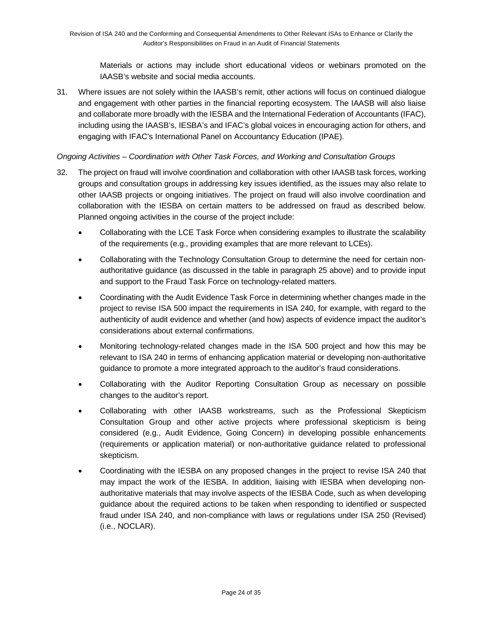Materials or actions may include short educational videos or webinars promoted on the IAASB's website and social media accounts.

31. Where issues are not solely within the IAASB's remit, other actions will focus on continued dialogue and engagement with other parties in the financial reporting ecosystem. The IAASB will also liaise and collaborate more broadly with the IESBA and the International Federation of Accountants (IFAC), including using the IAASB's, IESBA's and IFAC's global voices in encouraging action for others, and engaging with IFAC's International Panel on Accountancy Education (IPAE).

### *Ongoing Activities – Coordination with Other Task Forces, and Working and Consultation Groups*

- 32. The project on fraud will involve coordination and collaboration with other IAASB task forces, working groups and consultation groups in addressing key issues identified, as the issues may also relate to other IAASB projects or ongoing initiatives. The project on fraud will also involve coordination and collaboration with the IESBA on certain matters to be addressed on fraud as described below. Planned ongoing activities in the course of the project include:
	- Collaborating with the LCE Task Force when considering examples to illustrate the scalability of the requirements (e.g., providing examples that are more relevant to LCEs).
	- Collaborating with the Technology Consultation Group to determine the need for certain nonauthoritative guidance (as discussed in the table in paragraph 25 above) and to provide input and support to the Fraud Task Force on technology-related matters.
	- Coordinating with the Audit Evidence Task Force in determining whether changes made in the project to revise ISA 500 impact the requirements in ISA 240, for example, with regard to the authenticity of audit evidence and whether (and how) aspects of evidence impact the auditor's considerations about external confirmations.
	- Monitoring technology-related changes made in the ISA 500 project and how this may be relevant to ISA 240 in terms of enhancing application material or developing non-authoritative guidance to promote a more integrated approach to the auditor's fraud considerations.
	- Collaborating with the Auditor Reporting Consultation Group as necessary on possible changes to the auditor's report.
	- Collaborating with other IAASB workstreams, such as the Professional Skepticism Consultation Group and other active projects where professional skepticism is being considered (e.g., Audit Evidence, Going Concern) in developing possible enhancements (requirements or application material) or non-authoritative guidance related to professional skepticism.
	- Coordinating with the IESBA on any proposed changes in the project to revise ISA 240 that may impact the work of the IESBA. In addition, liaising with IESBA when developing nonauthoritative materials that may involve aspects of the IESBA Code, such as when developing guidance about the required actions to be taken when responding to identified or suspected fraud under ISA 240, and non-compliance with laws or regulations under ISA 250 (Revised) (i.e., NOCLAR).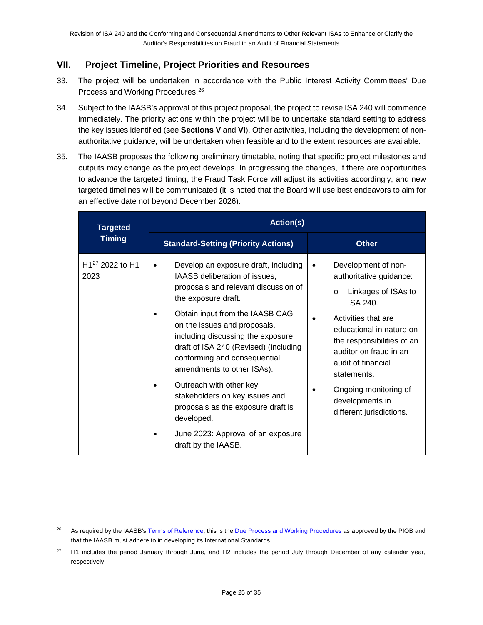### **VII. Project Timeline, Project Priorities and Resources**

- 33. The project will be undertaken in accordance with the Public Interest Activity Committees' Due Process and Working Procedures.[26](#page-24-0)
- 34. Subject to the IAASB's approval of this project proposal, the project to revise ISA 240 will commence immediately. The priority actions within the project will be to undertake standard setting to address the key issues identified (see **Sections V** and **VI**). Other activities, including the development of nonauthoritative guidance, will be undertaken when feasible and to the extent resources are available.
- 35. The IAASB proposes the following preliminary timetable, noting that specific project milestones and outputs may change as the project develops. In progressing the changes, if there are opportunities to advance the targeted timing, the Fraud Task Force will adjust its activities accordingly, and new targeted timelines will be communicated (it is noted that the Board will use best endeavors to aim for an effective date not beyond December 2026).

| <b>Targeted</b>                                 | <b>Action(s)</b>                                                                                                                                                                                                                                                                                                                                                                                                                                                                                                                               |                                                                                                                                                                                                                                                                                                                      |  |  |  |
|-------------------------------------------------|------------------------------------------------------------------------------------------------------------------------------------------------------------------------------------------------------------------------------------------------------------------------------------------------------------------------------------------------------------------------------------------------------------------------------------------------------------------------------------------------------------------------------------------------|----------------------------------------------------------------------------------------------------------------------------------------------------------------------------------------------------------------------------------------------------------------------------------------------------------------------|--|--|--|
| <b>Timing</b>                                   | <b>Standard-Setting (Priority Actions)</b>                                                                                                                                                                                                                                                                                                                                                                                                                                                                                                     | <b>Other</b>                                                                                                                                                                                                                                                                                                         |  |  |  |
| H <sub>127</sub> 2022 to H <sub>1</sub><br>2023 | Develop an exposure draft, including<br>$\bullet$<br>IAASB deliberation of issues,<br>proposals and relevant discussion of<br>the exposure draft.<br>Obtain input from the IAASB CAG<br>on the issues and proposals,<br>including discussing the exposure<br>draft of ISA 240 (Revised) (including<br>conforming and consequential<br>amendments to other ISAs).<br>Outreach with other key<br>stakeholders on key issues and<br>proposals as the exposure draft is<br>developed.<br>June 2023: Approval of an exposure<br>draft by the IAASB. | Development of non-<br>authoritative guidance:<br>Linkages of ISAs to<br>$\circ$<br>ISA 240.<br>Activities that are<br>educational in nature on<br>the responsibilities of an<br>auditor on fraud in an<br>audit of financial<br>statements.<br>Ongoing monitoring of<br>developments in<br>different jurisdictions. |  |  |  |

<span id="page-24-0"></span><sup>&</sup>lt;sup>26</sup> As required by the IAASB's [Terms of Reference,](https://www.iaasb.org/about-iaasb) this is the [Due Process and Working Procedures](https://www.iaasb.org/system/files/uploads/IAASB/IAASB-Due-Process-and-Working-Program.pdf) as approved by the PIOB and that the IAASB must adhere to in developing its International Standards.

<span id="page-24-1"></span><sup>&</sup>lt;sup>27</sup> H1 includes the period January through June, and H2 includes the period July through December of any calendar year, respectively.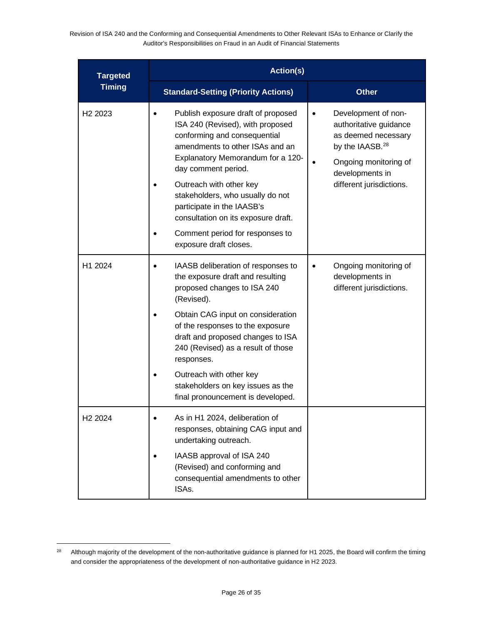| <b>Targeted</b>     | <b>Action(s)</b>                                                                                                                                                                                                                                                                                                                                                                                       |                                                                                                                                                                                          |  |  |  |
|---------------------|--------------------------------------------------------------------------------------------------------------------------------------------------------------------------------------------------------------------------------------------------------------------------------------------------------------------------------------------------------------------------------------------------------|------------------------------------------------------------------------------------------------------------------------------------------------------------------------------------------|--|--|--|
| <b>Timing</b>       | <b>Standard-Setting (Priority Actions)</b>                                                                                                                                                                                                                                                                                                                                                             | <b>Other</b>                                                                                                                                                                             |  |  |  |
| H <sub>2</sub> 2023 | Publish exposure draft of proposed<br>ISA 240 (Revised), with proposed<br>conforming and consequential<br>amendments to other ISAs and an<br>Explanatory Memorandum for a 120-<br>day comment period.<br>Outreach with other key<br>stakeholders, who usually do not<br>participate in the IAASB's<br>consultation on its exposure draft.<br>Comment period for responses to<br>exposure draft closes. | Development of non-<br>$\bullet$<br>authoritative guidance<br>as deemed necessary<br>by the IAASB. <sup>28</sup><br>Ongoing monitoring of<br>developments in<br>different jurisdictions. |  |  |  |
| H1 2024             | IAASB deliberation of responses to<br>the exposure draft and resulting<br>proposed changes to ISA 240<br>(Revised).<br>Obtain CAG input on consideration<br>of the responses to the exposure<br>draft and proposed changes to ISA<br>240 (Revised) as a result of those<br>responses.<br>Outreach with other key<br>stakeholders on key issues as the<br>final pronouncement is developed.             | Ongoing monitoring of<br>$\bullet$<br>developments in<br>different jurisdictions.                                                                                                        |  |  |  |
| H <sub>2</sub> 2024 | As in H1 2024, deliberation of<br>responses, obtaining CAG input and<br>undertaking outreach.<br>IAASB approval of ISA 240<br>(Revised) and conforming and<br>consequential amendments to other<br>ISAs.                                                                                                                                                                                               |                                                                                                                                                                                          |  |  |  |

<span id="page-25-0"></span><sup>&</sup>lt;sup>28</sup> Although majority of the development of the non-authoritative guidance is planned for H1 2025, the Board will confirm the timing and consider the appropriateness of the development of non-authoritative guidance in H2 2023.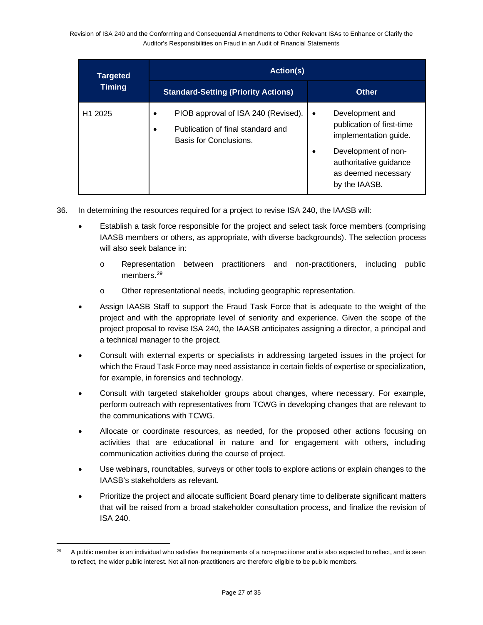| <b>Targeted</b>     | <b>Action(s)</b>                                                                                   |                                                                                                                                                                                  |  |  |  |
|---------------------|----------------------------------------------------------------------------------------------------|----------------------------------------------------------------------------------------------------------------------------------------------------------------------------------|--|--|--|
| <b>Timing</b>       | <b>Standard-Setting (Priority Actions)</b>                                                         | <b>Other</b>                                                                                                                                                                     |  |  |  |
| H <sub>1</sub> 2025 | PIOB approval of ISA 240 (Revised).<br>Publication of final standard and<br>Basis for Conclusions. | Development and<br>$\bullet$<br>publication of first-time<br>implementation guide.<br>Development of non-<br>٠<br>authoritative guidance<br>as deemed necessary<br>by the IAASB. |  |  |  |

- 36. In determining the resources required for a project to revise ISA 240, the IAASB will:
	- Establish a task force responsible for the project and select task force members (comprising IAASB members or others, as appropriate, with diverse backgrounds). The selection process will also seek balance in:
		- o Representation between practitioners and non-practitioners, including public members.<sup>[29](#page-26-0)</sup>
		- o Other representational needs, including geographic representation.
	- Assign IAASB Staff to support the Fraud Task Force that is adequate to the weight of the project and with the appropriate level of seniority and experience. Given the scope of the project proposal to revise ISA 240, the IAASB anticipates assigning a director, a principal and a technical manager to the project.
	- Consult with external experts or specialists in addressing targeted issues in the project for which the Fraud Task Force may need assistance in certain fields of expertise or specialization, for example, in forensics and technology.
	- Consult with targeted stakeholder groups about changes, where necessary. For example, perform outreach with representatives from TCWG in developing changes that are relevant to the communications with TCWG.
	- Allocate or coordinate resources, as needed, for the proposed other actions focusing on activities that are educational in nature and for engagement with others, including communication activities during the course of project.
	- Use webinars, roundtables, surveys or other tools to explore actions or explain changes to the IAASB's stakeholders as relevant.
	- Prioritize the project and allocate sufficient Board plenary time to deliberate significant matters that will be raised from a broad stakeholder consultation process, and finalize the revision of ISA 240.

<span id="page-26-0"></span><sup>&</sup>lt;sup>29</sup> A public member is an individual who satisfies the requirements of a non-practitioner and is also expected to reflect, and is seen to reflect, the wider public interest. Not all non-practitioners are therefore eligible to be public members.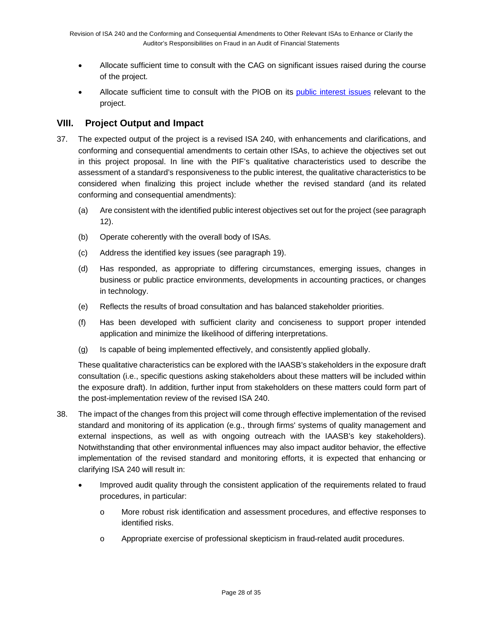- Allocate sufficient time to consult with the CAG on significant issues raised during the course of the project.
- Allocate sufficient time to consult with the PIOB on its [public interest issues](https://ipiob.org/wp-content/uploads/2021/11/PIOB_s-PI-Issues-on-IAASB-projects_November-10-2021.pdf) relevant to the project.

### **VIII. Project Output and Impact**

- 37. The expected output of the project is a revised ISA 240, with enhancements and clarifications, and conforming and consequential amendments to certain other ISAs, to achieve the objectives set out in this project proposal. In line with the PIF's qualitative characteristics used to describe the assessment of a standard's responsiveness to the public interest, the qualitative characteristics to be considered when finalizing this project include whether the revised standard (and its related conforming and consequential amendments):
	- (a) Are consistent with the identified public interest objectives set out for the project (see paragraph 12).
	- (b) Operate coherently with the overall body of ISAs.
	- (c) Address the identified key issues (see paragraph 19).
	- (d) Has responded, as appropriate to differing circumstances, emerging issues, changes in business or public practice environments, developments in accounting practices, or changes in technology.
	- (e) Reflects the results of broad consultation and has balanced stakeholder priorities.
	- (f) Has been developed with sufficient clarity and conciseness to support proper intended application and minimize the likelihood of differing interpretations.
	- (g) Is capable of being implemented effectively, and consistently applied globally.

These qualitative characteristics can be explored with the IAASB's stakeholders in the exposure draft consultation (i.e., specific questions asking stakeholders about these matters will be included within the exposure draft). In addition, further input from stakeholders on these matters could form part of the post-implementation review of the revised ISA 240.

- 38. The impact of the changes from this project will come through effective implementation of the revised standard and monitoring of its application (e.g., through firms' systems of quality management and external inspections, as well as with ongoing outreach with the IAASB's key stakeholders). Notwithstanding that other environmental influences may also impact auditor behavior, the effective implementation of the revised standard and monitoring efforts, it is expected that enhancing or clarifying ISA 240 will result in:
	- Improved audit quality through the consistent application of the requirements related to fraud procedures, in particular:
		- o More robust risk identification and assessment procedures, and effective responses to identified risks.
		- o Appropriate exercise of professional skepticism in fraud-related audit procedures.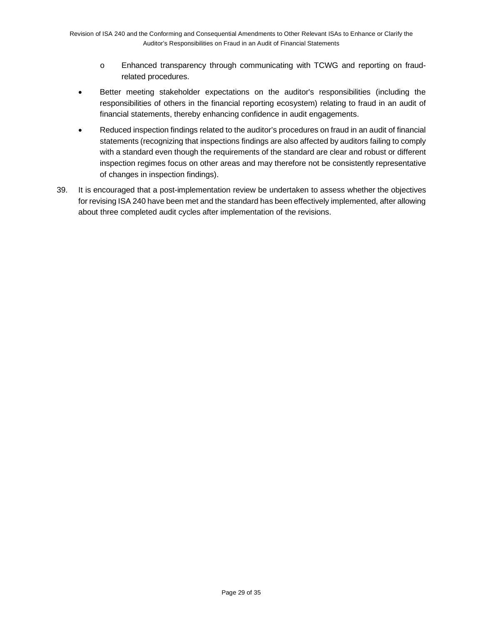- o Enhanced transparency through communicating with TCWG and reporting on fraudrelated procedures.
- Better meeting stakeholder expectations on the auditor's responsibilities (including the responsibilities of others in the financial reporting ecosystem) relating to fraud in an audit of financial statements, thereby enhancing confidence in audit engagements.
- Reduced inspection findings related to the auditor's procedures on fraud in an audit of financial statements (recognizing that inspections findings are also affected by auditors failing to comply with a standard even though the requirements of the standard are clear and robust or different inspection regimes focus on other areas and may therefore not be consistently representative of changes in inspection findings).
- 39. It is encouraged that a post-implementation review be undertaken to assess whether the objectives for revising ISA 240 have been met and the standard has been effectively implemented, after allowing about three completed audit cycles after implementation of the revisions.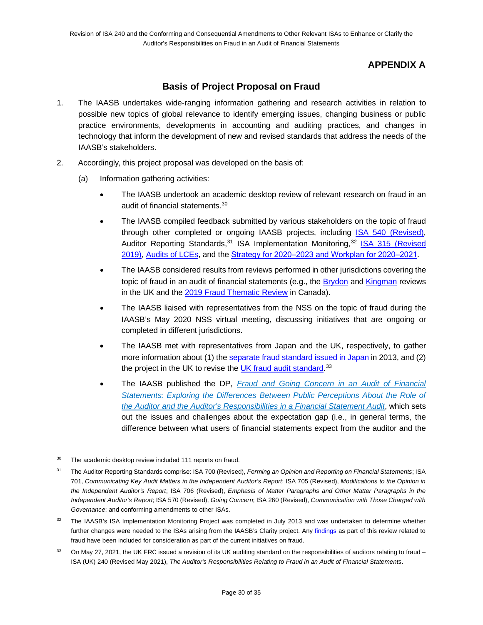# **APPENDIX A**

### **Basis of Project Proposal on Fraud**

- 1. The IAASB undertakes wide-ranging information gathering and research activities in relation to possible new topics of global relevance to identify emerging issues, changing business or public practice environments, developments in accounting and auditing practices, and changes in technology that inform the development of new and revised standards that address the needs of the IAASB's stakeholders.
- 2. Accordingly, this project proposal was developed on the basis of:
	- (a) Information gathering activities:
		- The IAASB undertook an academic desktop review of relevant research on fraud in an audit of financial statements. [30](#page-29-0)
		- The IAASB compiled feedback submitted by various stakeholders on the topic of fraud through other completed or ongoing IAASB projects, including ISA 540 [\(Revised\),](https://www.iaasb.org/projects/accounting-estimates-isa-540) Auditor Reporting Standards,<sup>[31](#page-29-1)</sup> ISA Implementation Monitoring,<sup>[32](#page-29-2)</sup> ISA 315 (Revised [2019\),](https://www.iaasb.org/consultations-projects/isa-315-revised) [Audits of LCEs,](https://www.iaasb.org/consultations-projects/audits-less-complex-entities) and the Strategy for 2020–2023 and Workplan for 2020–2021.
		- The IAASB considered results from reviews performed in other jurisdictions covering the topic of fraud in an audit of financial statements (e.g., the **Brydon** and *Kingman* reviews in the UK and the [2019 Fraud Thematic Review](https://www.cpab-ccrc.ca/docs/default-source/thought-leadership-publications/2019-fraud-thematic-review-en.pdf?sfvrsn=17f0b689_14) in Canada).
		- The IAASB liaised with representatives from the NSS on the topic of fraud during the IAASB's May 2020 NSS virtual meeting, discussing initiatives that are ongoing or completed in different jurisdictions.
		- The IAASB met with representatives from Japan and the UK, respectively, to gather more information about (1) th[e separate fraud standard issued in Japan](https://jicpa.or.jp/english/accounting/system/pdf/20130326.pdf) in 2013, and (2) the project in the UK to revise the <u>UK fraud audit standard</u>.<sup>[33](#page-29-3)</sup>
		- The IAASB published the DP, *[Fraud and Going Concern in an Audit of Financial](https://www.iaasb.org/publications/fraud-and-going-concern-audit-financial-statements)*  **Statements: Exploring the Differences Between Public Perceptions About the Role of** *[the Auditor and the Auditor's Responsibilities in a Financial Statement Audit](https://www.iaasb.org/publications/fraud-and-going-concern-audit-financial-statements)*, which sets out the issues and challenges about the expectation gap (i.e., in general terms, the difference between what users of financial statements expect from the auditor and the

<span id="page-29-0"></span><sup>&</sup>lt;sup>30</sup> The academic desktop review included 111 reports on fraud.

<span id="page-29-1"></span><sup>31</sup> The Auditor Reporting Standards comprise: ISA 700 (Revised), *Forming an Opinion and Reporting on Financial Statements*; ISA 701, *Communicating Key Audit Matters in the Independent Auditor's Report*; ISA 705 (Revised), *Modifications to the Opinion in the Independent Auditor's Report*; ISA 706 (Revised), *Emphasis of Matter Paragraphs and Other Matter Paragraphs in the Independent Auditor's Report*; ISA 570 (Revised), *Going Concern*; ISA 260 (Revised), *Communication with Those Charged with Governance*; and conforming amendments to other ISAs.

<span id="page-29-2"></span><sup>&</sup>lt;sup>32</sup> The IAASB's ISA Implementation Monitoring Project was completed in July 2013 and was undertaken to determine whether further changes were needed to the ISAs arising from the IAASB's Clarity project. Any [findings](https://www.iaasb.org/publications/clarified-isas-findings-post-implementation-review) as part of this review related to fraud have been included for consideration as part of the current initiatives on fraud.

<span id="page-29-3"></span><sup>33</sup> On May 27, 2021, the UK FRC issued a revision of its UK auditing standard on the responsibilities of auditors relating to fraud – ISA (UK) 240 (Revised May 2021), *The Auditor's Responsibilities Relating to Fraud in an Audit of Financial Statements*.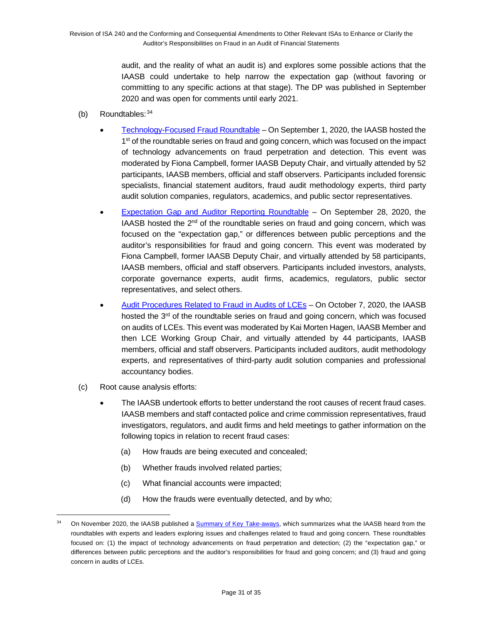audit, and the reality of what an audit is) and explores some possible actions that the IAASB could undertake to help narrow the expectation gap (without favoring or committing to any specific actions at that stage). The DP was published in September 2020 and was open for comments until early 2021.

- (b) Roundtables:  $34$ 
	- [Technology-Focused Fraud Roundtable](https://www.youtube.com/watch?v=h-nNuvv7TM4) On September 1, 2020, the IAASB hosted the 1<sup>st</sup> of the roundtable series on fraud and going concern, which was focused on the impact of technology advancements on fraud perpetration and detection. This event was moderated by Fiona Campbell, former IAASB Deputy Chair, and virtually attended by 52 participants, IAASB members, official and staff observers. Participants included forensic specialists, financial statement auditors, fraud audit methodology experts, third party audit solution companies, regulators, academics, and public sector representatives.
	- [Expectation Gap and Auditor Reporting Roundtable](https://www.youtube.com/watch?v=ePwTTY3UEPs) On September 28, 2020, the IAASB hosted the  $2<sup>nd</sup>$  of the roundtable series on fraud and going concern, which was focused on the "expectation gap," or differences between public perceptions and the auditor's responsibilities for fraud and going concern. This event was moderated by Fiona Campbell, former IAASB Deputy Chair, and virtually attended by 58 participants, IAASB members, official and staff observers. Participants included investors, analysts, corporate governance experts, audit firms, academics, regulators, public sector representatives, and select others.
	- [Audit Procedures Related to Fraud in Audits of LCEs](https://www.youtube.com/watch?v=JekL3gAtti4) On October 7, 2020, the IAASB hosted the  $3<sup>rd</sup>$  of the roundtable series on fraud and going concern, which was focused on audits of LCEs. This event was moderated by Kai Morten Hagen, IAASB Member and then LCE Working Group Chair, and virtually attended by 44 participants, IAASB members, official and staff observers. Participants included auditors, audit methodology experts, and representatives of third-party audit solution companies and professional accountancy bodies.
- (c) Root cause analysis efforts:
	- The IAASB undertook efforts to better understand the root causes of recent fraud cases. IAASB members and staff contacted police and crime commission representatives, fraud investigators, regulators, and audit firms and held meetings to gather information on the following topics in relation to recent fraud cases:
		- (a) How frauds are being executed and concealed;
		- (b) Whether frauds involved related parties;
		- (c) What financial accounts were impacted;
		- (d) How the frauds were eventually detected, and by who;

<span id="page-30-0"></span><sup>&</sup>lt;sup>34</sup> On November 2020, the IAASB published a **Summary of Key Take-aways**, which summarizes what the IAASB heard from the roundtables with experts and leaders exploring issues and challenges related to fraud and going concern. These roundtables focused on: (1) the impact of technology advancements on fraud perpetration and detection; (2) the "expectation gap," or differences between public perceptions and the auditor's responsibilities for fraud and going concern; and (3) fraud and going concern in audits of LCEs.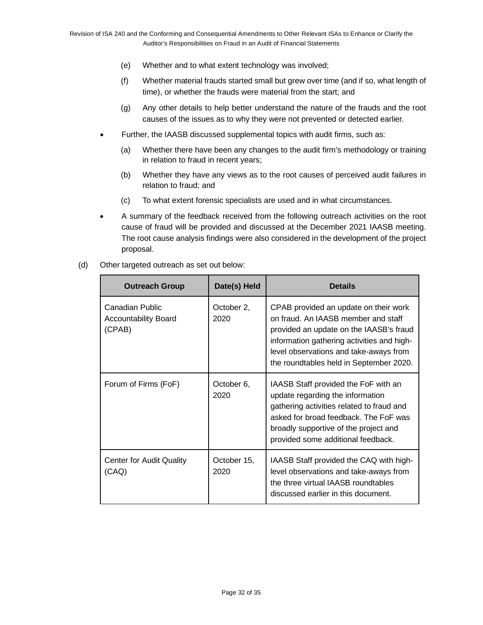- (e) Whether and to what extent technology was involved;
- (f) Whether material frauds started small but grew over time (and if so, what length of time), or whether the frauds were material from the start; and
- (g) Any other details to help better understand the nature of the frauds and the root causes of the issues as to why they were not prevented or detected earlier.
- Further, the IAASB discussed supplemental topics with audit firms, such as:
	- (a) Whether there have been any changes to the audit firm's methodology or training in relation to fraud in recent years;
	- (b) Whether they have any views as to the root causes of perceived audit failures in relation to fraud; and
	- (c) To what extent forensic specialists are used and in what circumstances.
- A summary of the feedback received from the following outreach activities on the root cause of fraud will be provided and discussed at the December 2021 IAASB meeting. The root cause analysis findings were also considered in the development of the project proposal.
- (d) Other targeted outreach as set out below:

| <b>Outreach Group</b>                                    | Date(s) Held        | <b>Details</b>                                                                                                                                                                                                                                             |
|----------------------------------------------------------|---------------------|------------------------------------------------------------------------------------------------------------------------------------------------------------------------------------------------------------------------------------------------------------|
| Canadian Public<br><b>Accountability Board</b><br>(CPAB) | October 2,<br>2020  | CPAB provided an update on their work<br>on fraud. An IAASB member and staff<br>provided an update on the IAASB's fraud<br>information gathering activities and high-<br>level observations and take-aways from<br>the roundtables held in September 2020. |
| Forum of Firms (FoF)                                     | October 6,<br>2020  | IAASB Staff provided the FoF with an<br>update regarding the information<br>gathering activities related to fraud and<br>asked for broad feedback. The FoF was<br>broadly supportive of the project and<br>provided some additional feedback.              |
| <b>Center for Audit Quality</b><br>(CAQ)                 | October 15,<br>2020 | IAASB Staff provided the CAQ with high-<br>level observations and take-aways from<br>the three virtual IAASB roundtables<br>discussed earlier in this document.                                                                                            |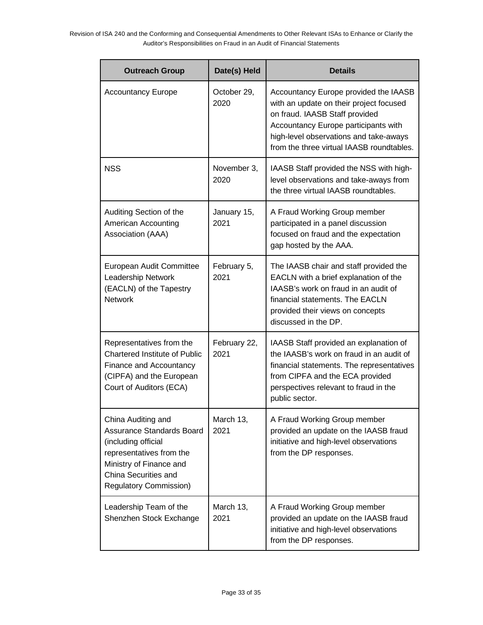| <b>Outreach Group</b>                                                                                                                                                                         | Date(s) Held         | <b>Details</b>                                                                                                                                                                                                                                    |
|-----------------------------------------------------------------------------------------------------------------------------------------------------------------------------------------------|----------------------|---------------------------------------------------------------------------------------------------------------------------------------------------------------------------------------------------------------------------------------------------|
| <b>Accountancy Europe</b>                                                                                                                                                                     | October 29,<br>2020  | Accountancy Europe provided the IAASB<br>with an update on their project focused<br>on fraud. IAASB Staff provided<br>Accountancy Europe participants with<br>high-level observations and take-aways<br>from the three virtual IAASB roundtables. |
| <b>NSS</b>                                                                                                                                                                                    | November 3,<br>2020  | IAASB Staff provided the NSS with high-<br>level observations and take-aways from<br>the three virtual IAASB roundtables.                                                                                                                         |
| Auditing Section of the<br>American Accounting<br>Association (AAA)                                                                                                                           | January 15,<br>2021  | A Fraud Working Group member<br>participated in a panel discussion<br>focused on fraud and the expectation<br>gap hosted by the AAA.                                                                                                              |
| European Audit Committee<br>Leadership Network<br>(EACLN) of the Tapestry<br><b>Network</b>                                                                                                   | February 5,<br>2021  | The IAASB chair and staff provided the<br>EACLN with a brief explanation of the<br>IAASB's work on fraud in an audit of<br>financial statements. The EACLN<br>provided their views on concepts<br>discussed in the DP.                            |
| Representatives from the<br><b>Chartered Institute of Public</b><br>Finance and Accountancy<br>(CIPFA) and the European<br>Court of Auditors (ECA)                                            | February 22,<br>2021 | IAASB Staff provided an explanation of<br>the IAASB's work on fraud in an audit of<br>financial statements. The representatives<br>from CIPFA and the ECA provided<br>perspectives relevant to fraud in the<br>public sector.                     |
| China Auditing and<br><b>Assurance Standards Board</b><br>(including official<br>representatives from the<br>Ministry of Finance and<br>China Securities and<br><b>Regulatory Commission)</b> | March 13,<br>2021    | A Fraud Working Group member<br>provided an update on the IAASB fraud<br>initiative and high-level observations<br>from the DP responses.                                                                                                         |
| Leadership Team of the<br>Shenzhen Stock Exchange                                                                                                                                             | March 13,<br>2021    | A Fraud Working Group member<br>provided an update on the IAASB fraud<br>initiative and high-level observations<br>from the DP responses.                                                                                                         |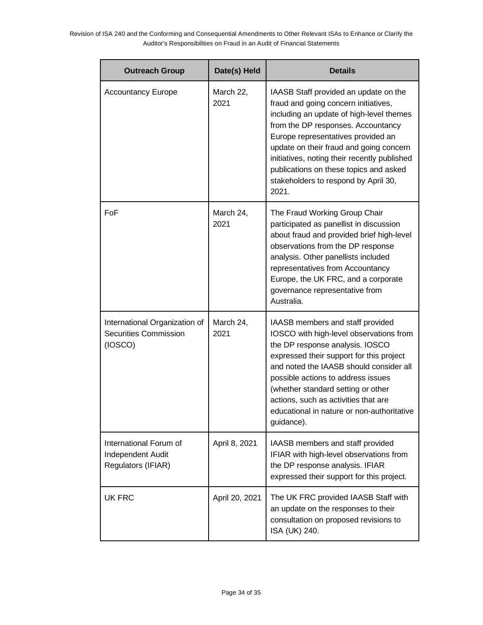| Date(s) Held<br><b>Outreach Group</b>                                    |                   | <b>Details</b>                                                                                                                                                                                                                                                                                                                                                                              |  |
|--------------------------------------------------------------------------|-------------------|---------------------------------------------------------------------------------------------------------------------------------------------------------------------------------------------------------------------------------------------------------------------------------------------------------------------------------------------------------------------------------------------|--|
| <b>Accountancy Europe</b>                                                | March 22,<br>2021 | IAASB Staff provided an update on the<br>fraud and going concern initiatives,<br>including an update of high-level themes<br>from the DP responses. Accountancy<br>Europe representatives provided an<br>update on their fraud and going concern<br>initiatives, noting their recently published<br>publications on these topics and asked<br>stakeholders to respond by April 30,<br>2021. |  |
| FoF                                                                      | March 24,<br>2021 | The Fraud Working Group Chair<br>participated as panellist in discussion<br>about fraud and provided brief high-level<br>observations from the DP response<br>analysis. Other panellists included<br>representatives from Accountancy<br>Europe, the UK FRC, and a corporate<br>governance representative from<br>Australia.                                                                |  |
| International Organization of<br><b>Securities Commission</b><br>(IOSCO) | March 24,<br>2021 | IAASB members and staff provided<br>IOSCO with high-level observations from<br>the DP response analysis. IOSCO<br>expressed their support for this project<br>and noted the IAASB should consider all<br>possible actions to address issues<br>(whether standard setting or other<br>actions, such as activities that are<br>educational in nature or non-authoritative<br>guidance).       |  |
| International Forum of<br>Independent Audit<br>Regulators (IFIAR)        | April 8, 2021     | IAASB members and staff provided<br>IFIAR with high-level observations from<br>the DP response analysis. IFIAR<br>expressed their support for this project.                                                                                                                                                                                                                                 |  |
| <b>UK FRC</b>                                                            | April 20, 2021    | The UK FRC provided IAASB Staff with<br>an update on the responses to their<br>consultation on proposed revisions to<br>ISA (UK) 240.                                                                                                                                                                                                                                                       |  |